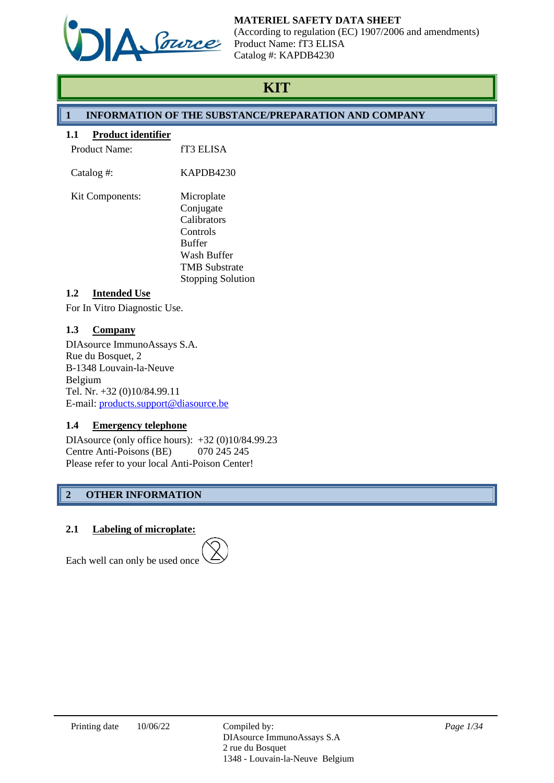

## **MATERIEL SAFETY DATA SHEET**

(According to regulation (EC) 1907/2006 and amendments) Product Name: fT3 ELISA Catalog #: KAPDB4230

# **KIT**

## **1 INFORMATION OF THE SUBSTANCE/PREPARATION AND COMPANY**

## **1.1 Product identifier**

| <b>Product Name:</b>   | fT3 ELISA                                                                                                  |
|------------------------|------------------------------------------------------------------------------------------------------------|
| Catalog #:             | KAPDB4230                                                                                                  |
| <b>Kit Components:</b> | Microplate<br>Conjugate<br>Calibrators<br>Controls<br><b>Buffer</b><br>Wash Buffer<br><b>TMB Substrate</b> |
| Intonded Hee           | <b>Stopping Solution</b>                                                                                   |

## **1.2 Intended Use**

For In Vitro Diagnostic Use.

## **1.3 Company**

DIAsource ImmunoAssays S.A. Rue du Bosquet, 2 B-1348 Louvain-la-Neuve Belgium Tel. Nr. +32 (0)10/84.99.11 E-mail: [products.support@diasource.be](mailto:products.support@diasource.be)

## **1.4 Emergency telephone**

DIAsource (only office hours): +32 (0)10/84.99.23 Centre Anti-Poisons (BE) 070 245 245 Please refer to your local Anti-Poison Center!

## **2 OTHER INFORMATION**

## **2.1 Labeling of microplate:**



Each well can only be used once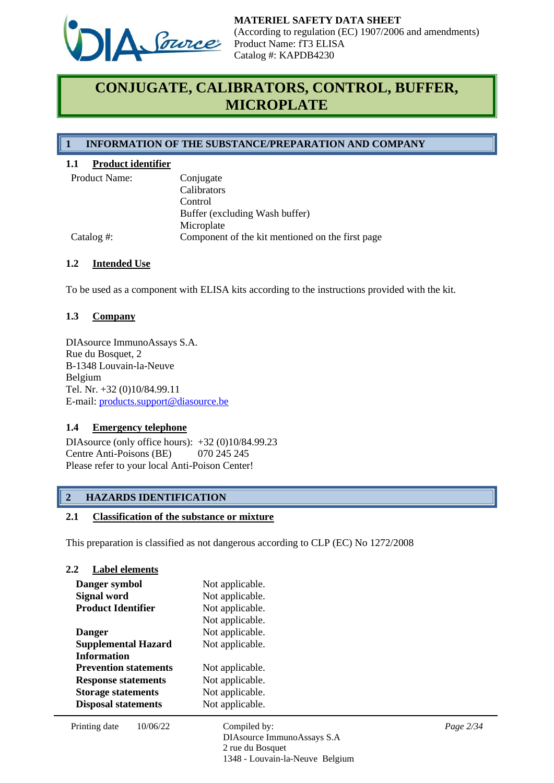

# **CONJUGATE, CALIBRATORS, CONTROL, BUFFER, MICROPLATE**

## **1 INFORMATION OF THE SUBSTANCE/PREPARATION AND COMPANY**

## **1.1 Product identifier**

| <b>Product Name</b> |  |
|---------------------|--|
|                     |  |

| <b>Product Name:</b> | Conjugate                                        |
|----------------------|--------------------------------------------------|
|                      | Calibrators                                      |
|                      | Control                                          |
|                      | Buffer (excluding Wash buffer)                   |
|                      | Microplate                                       |
| Catalog #:           | Component of the kit mentioned on the first page |

## **1.2 Intended Use**

To be used as a component with ELISA kits according to the instructions provided with the kit.

## **1.3 Company**

DIAsource ImmunoAssays S.A. Rue du Bosquet, 2 B-1348 Louvain-la-Neuve Belgium Tel. Nr. +32 (0)10/84.99.11 E-mail: [products.support@diasource.be](mailto:tech.support@diasource.be)

#### **1.4 Emergency telephone**

**2.2 Label elements**

DIAsource (only office hours): +32 (0)10/84.99.23 Centre Anti-Poisons (BE) 070 245 245 Please refer to your local Anti-Poison Center!

## **2 HAZARDS IDENTIFICATION**

#### **2.1 Classification of the substance or mixture**

This preparation is classified as not dangerous according to CLP (EC) No 1272/2008

| 2.∠<br>L'abel elements       |          |                                             |           |
|------------------------------|----------|---------------------------------------------|-----------|
| Danger symbol                |          | Not applicable.                             |           |
| Signal word                  |          | Not applicable.                             |           |
| <b>Product Identifier</b>    |          | Not applicable.                             |           |
|                              |          | Not applicable.                             |           |
| <b>Danger</b>                |          | Not applicable.                             |           |
| <b>Supplemental Hazard</b>   |          | Not applicable.                             |           |
| <b>Information</b>           |          |                                             |           |
| <b>Prevention statements</b> |          | Not applicable.                             |           |
| <b>Response statements</b>   |          | Not applicable.                             |           |
| <b>Storage statements</b>    |          | Not applicable.                             |           |
| <b>Disposal statements</b>   |          | Not applicable.                             |           |
| Printing date                | 10/06/22 | Compiled by:<br>DIAsource ImmunoAssays S.A. | Page 2/34 |

2 rue du Bosquet

1348 - Louvain-la-Neuve Belgium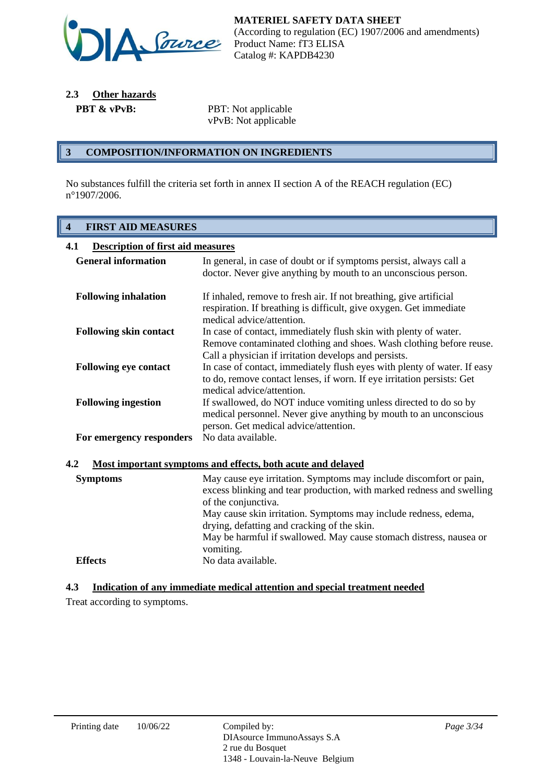

**2.3 Other hazards**

**PBT & vPvB:** PBT: Not applicable vPvB: Not applicable

## **3 COMPOSITION/INFORMATION ON INGREDIENTS**

No substances fulfill the criteria set forth in annex II section A of the REACH regulation (EC) n°1907/2006.

## **4 FIRST AID MEASURES**

| <b>Description of first aid measures</b><br>4.1                    |                                                                                                                                                                                                                                                                                                                                                            |  |  |
|--------------------------------------------------------------------|------------------------------------------------------------------------------------------------------------------------------------------------------------------------------------------------------------------------------------------------------------------------------------------------------------------------------------------------------------|--|--|
| <b>General information</b>                                         | In general, in case of doubt or if symptoms persist, always call a<br>doctor. Never give anything by mouth to an unconscious person.                                                                                                                                                                                                                       |  |  |
| <b>Following inhalation</b>                                        | If inhaled, remove to fresh air. If not breathing, give artificial<br>respiration. If breathing is difficult, give oxygen. Get immediate                                                                                                                                                                                                                   |  |  |
| <b>Following skin contact</b>                                      | medical advice/attention.<br>In case of contact, immediately flush skin with plenty of water.<br>Remove contaminated clothing and shoes. Wash clothing before reuse.                                                                                                                                                                                       |  |  |
| <b>Following eye contact</b>                                       | Call a physician if irritation develops and persists.<br>In case of contact, immediately flush eyes with plenty of water. If easy<br>to do, remove contact lenses, if worn. If eye irritation persists: Get                                                                                                                                                |  |  |
| <b>Following ingestion</b>                                         | medical advice/attention.<br>If swallowed, do NOT induce vomiting unless directed to do so by<br>medical personnel. Never give anything by mouth to an unconscious<br>person. Get medical advice/attention.                                                                                                                                                |  |  |
| For emergency responders                                           | No data available.                                                                                                                                                                                                                                                                                                                                         |  |  |
| 4.2<br>Most important symptoms and effects, both acute and delayed |                                                                                                                                                                                                                                                                                                                                                            |  |  |
| <b>Symptoms</b>                                                    | May cause eye irritation. Symptoms may include discomfort or pain,<br>excess blinking and tear production, with marked redness and swelling<br>of the conjunctiva.<br>May cause skin irritation. Symptoms may include redness, edema,<br>drying, defatting and cracking of the skin.<br>May be harmful if swallowed. May cause stomach distress, nausea or |  |  |
| <b>Effects</b>                                                     | vomiting.<br>No data available.                                                                                                                                                                                                                                                                                                                            |  |  |

## **4.3 Indication of any immediate medical attention and special treatment needed**

Treat according to symptoms.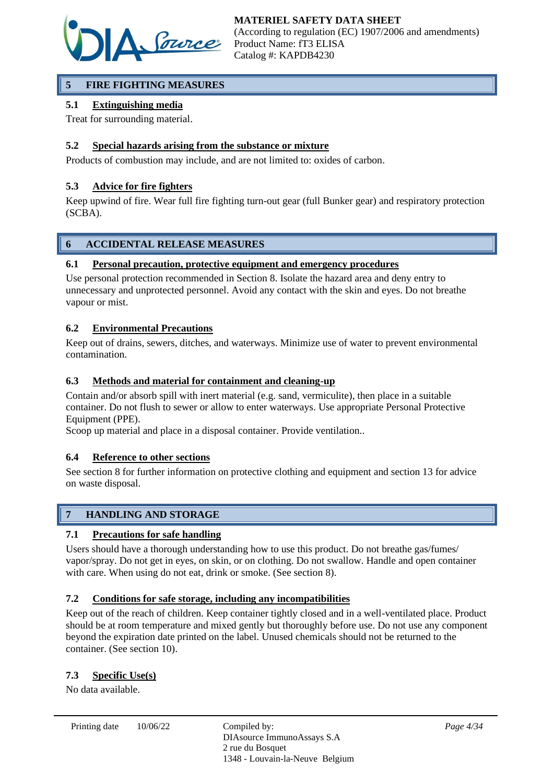

## **5 FIRE FIGHTING MEASURES**

## **5.1 Extinguishing media**

Treat for surrounding material.

## **5.2 Special hazards arising from the substance or mixture**

Products of combustion may include, and are not limited to: oxides of carbon.

## **5.3 Advice for fire fighters**

Keep upwind of fire. Wear full fire fighting turn-out gear (full Bunker gear) and respiratory protection (SCBA).

## **6 ACCIDENTAL RELEASE MEASURES**

## **6.1 Personal precaution, protective equipment and emergency procedures**

Use personal protection recommended in Section 8. Isolate the hazard area and deny entry to unnecessary and unprotected personnel. Avoid any contact with the skin and eyes. Do not breathe vapour or mist.

## **6.2 Environmental Precautions**

Keep out of drains, sewers, ditches, and waterways. Minimize use of water to prevent environmental contamination.

## **6.3 Methods and material for containment and cleaning-up**

Contain and/or absorb spill with inert material (e.g. sand, vermiculite), then place in a suitable container. Do not flush to sewer or allow to enter waterways. Use appropriate Personal Protective Equipment (PPE).

Scoop up material and place in a disposal container. Provide ventilation..

## **6.4 Reference to other sections**

See section 8 for further information on protective clothing and equipment and section 13 for advice on waste disposal.

## **7 HANDLING AND STORAGE**

## **7.1 Precautions for safe handling**

Users should have a thorough understanding how to use this product. Do not breathe gas/fumes/ vapor/spray. Do not get in eyes, on skin, or on clothing. Do not swallow. Handle and open container with care. When using do not eat, drink or smoke. (See section 8).

## **7.2 Conditions for safe storage, including any incompatibilities**

Keep out of the reach of children. Keep container tightly closed and in a well-ventilated place. Product should be at room temperature and mixed gently but thoroughly before use. Do not use any component beyond the expiration date printed on the label. Unused chemicals should not be returned to the container. (See section 10).

## **7.3 Specific Use(s)**

No data available.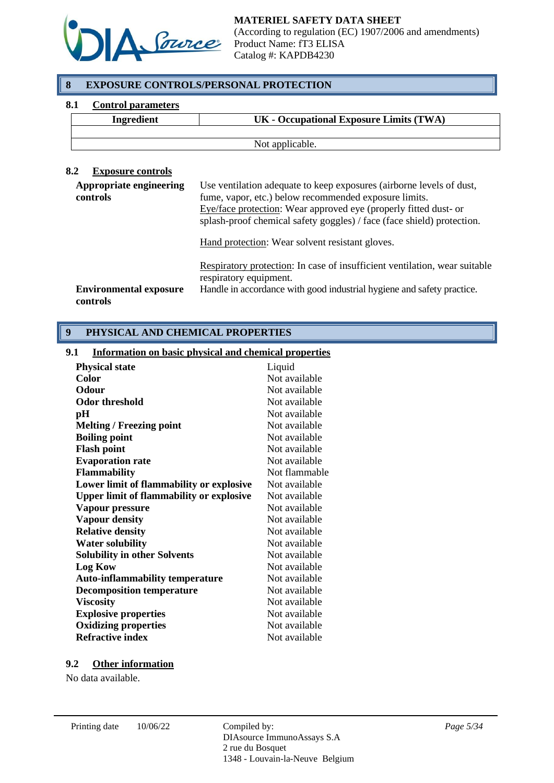

## **8 EXPOSURE CONTROLS/PERSONAL PROTECTION**

## **8.1 Control parameters**

| <b>Ingredient</b> | UK - Occupational Exposure Limits (TWA) |
|-------------------|-----------------------------------------|
|                   |                                         |
|                   | Not applicable.                         |

## **8.2 Exposure controls**

| Use ventilation adequate to keep exposures (airborne levels of dust,<br>fume, vapor, etc.) below recommended exposure limits.<br>Eye/face protection: Wear approved eye (properly fitted dust- or<br>splash-proof chemical safety goggles) / face (face shield) protection. |
|-----------------------------------------------------------------------------------------------------------------------------------------------------------------------------------------------------------------------------------------------------------------------------|
| Hand protection: Wear solvent resistant gloves.                                                                                                                                                                                                                             |
| Respiratory protection: In case of insufficient ventilation, wear suitable<br>respiratory equipment.<br>Handle in accordance with good industrial hygiene and safety practice.                                                                                              |
|                                                                                                                                                                                                                                                                             |

## **9 PHYSICAL AND CHEMICAL PROPERTIES**

#### **9.1 Information on basic physical and chemical properties**

| <b>Physical state</b>                           | Liquid        |
|-------------------------------------------------|---------------|
| <b>Color</b>                                    | Not available |
| <b>Odour</b>                                    | Not available |
| Odor threshold                                  | Not available |
| pН                                              | Not available |
| <b>Melting / Freezing point</b>                 | Not available |
| <b>Boiling point</b>                            | Not available |
| <b>Flash point</b>                              | Not available |
| <b>Evaporation rate</b>                         | Not available |
| <b>Flammability</b>                             | Not flammable |
| Lower limit of flammability or explosive        | Not available |
| <b>Upper limit of flammability or explosive</b> | Not available |
| Vapour pressure                                 | Not available |
| <b>Vapour density</b>                           | Not available |
| <b>Relative density</b>                         | Not available |
| <b>Water solubility</b>                         | Not available |
| <b>Solubility in other Solvents</b>             | Not available |
| <b>Log Kow</b>                                  | Not available |
| <b>Auto-inflammability temperature</b>          | Not available |
| <b>Decomposition temperature</b>                | Not available |
| <b>Viscosity</b>                                | Not available |
| <b>Explosive properties</b>                     | Not available |
| <b>Oxidizing properties</b>                     | Not available |
| <b>Refractive index</b>                         | Not available |

#### **9.2 Other information**

No data available.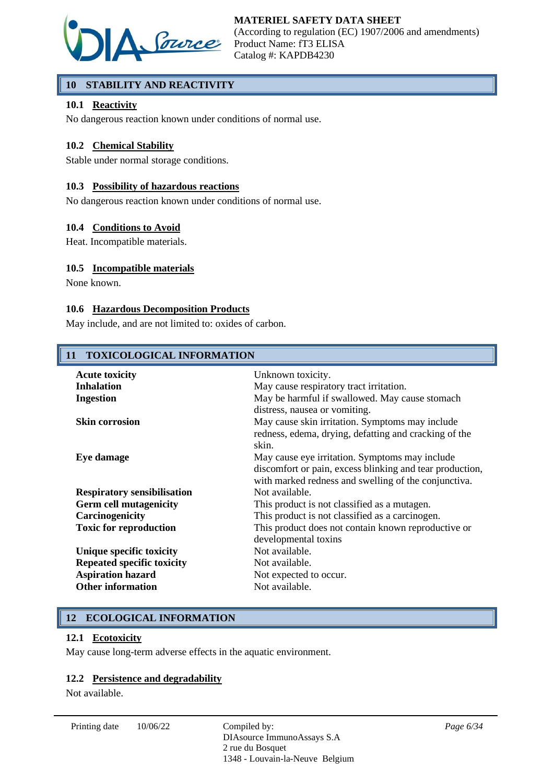

## **10 STABILITY AND REACTIVITY**

## **10.1 Reactivity**

No dangerous reaction known under conditions of normal use.

## **10.2 Chemical Stability**

Stable under normal storage conditions.

#### **10.3 Possibility of hazardous reactions**

No dangerous reaction known under conditions of normal use.

#### **10.4 Conditions to Avoid**

Heat. Incompatible materials.

## **10.5 Incompatible materials**

None known.

## **10.6 Hazardous Decomposition Products**

May include, and are not limited to: oxides of carbon.

| 11 TOXICOLOGICAL INFORMATION               |                                                                                                                                                                    |  |  |
|--------------------------------------------|--------------------------------------------------------------------------------------------------------------------------------------------------------------------|--|--|
| <b>Acute toxicity</b><br><b>Inhalation</b> | Unknown toxicity.<br>May cause respiratory tract irritation.                                                                                                       |  |  |
| <b>Ingestion</b>                           | May be harmful if swallowed. May cause stomach                                                                                                                     |  |  |
| <b>Skin corrosion</b>                      | distress, nausea or vomiting.<br>May cause skin irritation. Symptoms may include<br>redness, edema, drying, defatting and cracking of the<br>skin.                 |  |  |
| Eye damage                                 | May cause eye irritation. Symptoms may include<br>discomfort or pain, excess blinking and tear production,<br>with marked redness and swelling of the conjunctiva. |  |  |
| <b>Respiratory sensibilisation</b>         | Not available.                                                                                                                                                     |  |  |
| <b>Germ cell mutagenicity</b>              | This product is not classified as a mutagen.                                                                                                                       |  |  |
| Carcinogenicity                            | This product is not classified as a carcinogen.                                                                                                                    |  |  |
| <b>Toxic for reproduction</b>              | This product does not contain known reproductive or<br>developmental toxins                                                                                        |  |  |
| Unique specific toxicity                   | Not available.                                                                                                                                                     |  |  |
| <b>Repeated specific toxicity</b>          | Not available.                                                                                                                                                     |  |  |
| <b>Aspiration hazard</b>                   | Not expected to occur.                                                                                                                                             |  |  |
| <b>Other information</b>                   | Not available.                                                                                                                                                     |  |  |

## **12 ECOLOGICAL INFORMATION**

## **12.1 Ecotoxicity**

May cause long-term adverse effects in the aquatic environment.

#### **12.2 Persistence and degradability**

Not available.

Printing date  $10/06/22$  Compiled by: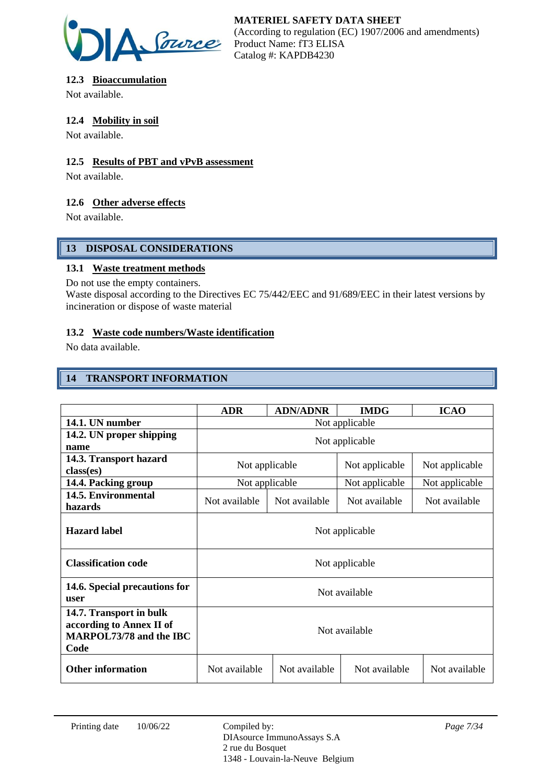

## **12.3 Bioaccumulation**

Not available.

## **12.4 Mobility in soil**

Not available.

## **12.5 Results of PBT and vPvB assessment**

Not available.

## **12.6 Other adverse effects**

Not available.

## **13 DISPOSAL CONSIDERATIONS**

## **13.1 Waste treatment methods**

Do not use the empty containers.

Waste disposal according to the Directives EC 75/442/EEC and 91/689/EEC in their latest versions by incineration or dispose of waste material

## **13.2 Waste code numbers/Waste identification**

No data available.

## **14 TRANSPORT INFORMATION**

|                                                                                        | <b>ADR</b>                                         | <b>ADN/ADNR</b> | <b>IMDG</b>    | <b>ICAO</b>    |
|----------------------------------------------------------------------------------------|----------------------------------------------------|-----------------|----------------|----------------|
| 14.1. UN number                                                                        | Not applicable                                     |                 |                |                |
| 14.2. UN proper shipping<br>name                                                       | Not applicable                                     |                 |                |                |
| 14.3. Transport hazard<br>class(es)                                                    | Not applicable<br>Not applicable<br>Not applicable |                 |                |                |
| 14.4. Packing group                                                                    |                                                    | Not applicable  | Not applicable | Not applicable |
| 14.5. Environmental<br>hazards                                                         | Not available                                      | Not available   | Not available  | Not available  |
| <b>Hazard label</b>                                                                    | Not applicable                                     |                 |                |                |
| <b>Classification code</b>                                                             | Not applicable                                     |                 |                |                |
| 14.6. Special precautions for<br>user                                                  | Not available                                      |                 |                |                |
| 14.7. Transport in bulk<br>according to Annex II of<br>MARPOL73/78 and the IBC<br>Code | Not available                                      |                 |                |                |
| <b>Other information</b>                                                               | Not available                                      | Not available   | Not available  | Not available  |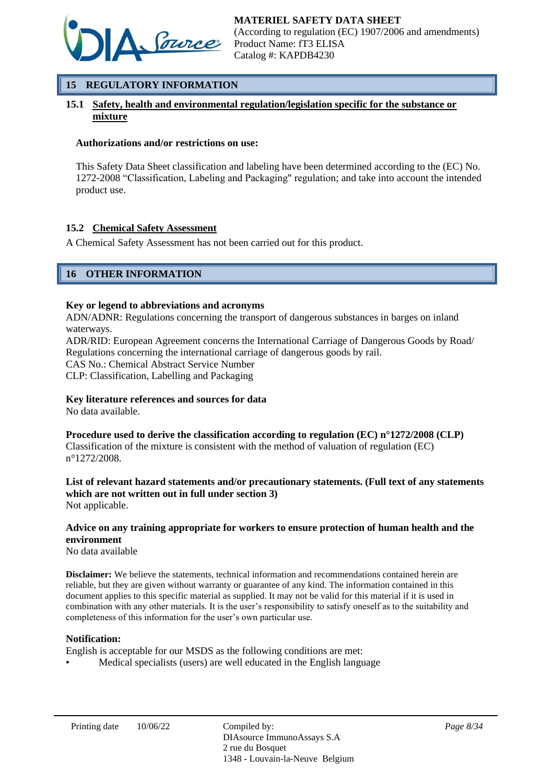

## **15 REGULATORY INFORMATION**

## **15.1 Safety, health and environmental regulation/legislation specific for the substance or mixture**

#### **Authorizations and/or restrictions on use:**

This Safety Data Sheet classification and labeling have been determined according to the (EC) No. 1272-2008 "Classification, Labeling and Packaging" regulation; and take into account the intended product use.

#### **15.2 Chemical Safety Assessment**

A Chemical Safety Assessment has not been carried out for this product.

## **16 OTHER INFORMATION**

#### **Key or legend to abbreviations and acronyms**

ADN/ADNR: Regulations concerning the transport of dangerous substances in barges on inland waterways.

ADR/RID: European Agreement concerns the International Carriage of Dangerous Goods by Road/ Regulations concerning the international carriage of dangerous goods by rail.

CAS No.: Chemical Abstract Service Number

CLP: Classification, Labelling and Packaging

#### **Key literature references and sources for data**

No data available.

**Procedure used to derive the classification according to regulation (EC) n°1272/2008 (CLP)** Classification of the mixture is consistent with the method of valuation of regulation (EC) n°1272/2008.

#### **List of relevant hazard statements and/or precautionary statements. (Full text of any statements which are not written out in full under section 3)** Not applicable.

#### **Advice on any training appropriate for workers to ensure protection of human health and the environment**

No data available

**Disclaimer:** We believe the statements, technical information and recommendations contained herein are reliable, but they are given without warranty or guarantee of any kind. The information contained in this document applies to this specific material as supplied. It may not be valid for this material if it is used in combination with any other materials. It is the user's responsibility to satisfy oneself as to the suitability and completeness of this information for the user's own particular use.

#### **Notification:**

English is acceptable for our MSDS as the following conditions are met:

• Medical specialists (users) are well educated in the English language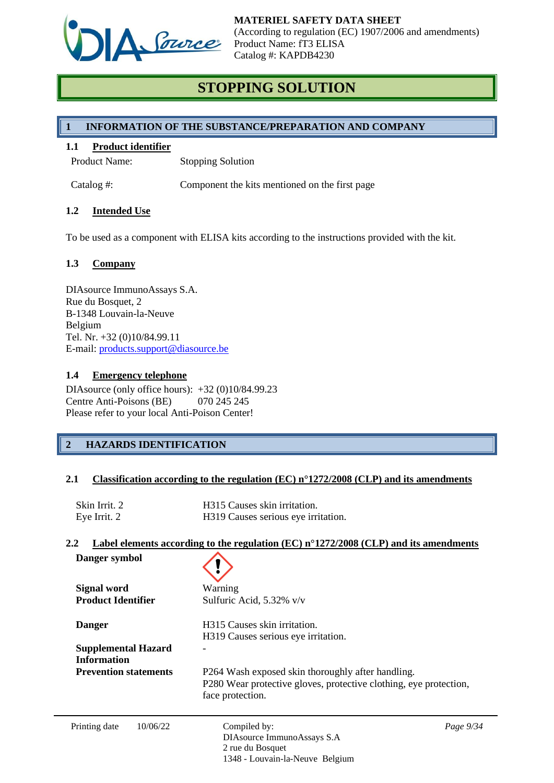

# **STOPPING SOLUTION**

## **1 INFORMATION OF THE SUBSTANCE/PREPARATION AND COMPANY**

#### **1.1 Product identifier**

Product Name: Stopping Solution

Catalog #: Component the kits mentioned on the first page

## **1.2 Intended Use**

To be used as a component with ELISA kits according to the instructions provided with the kit.

## **1.3 Company**

DIAsource ImmunoAssays S.A. Rue du Bosquet, 2 B-1348 Louvain-la-Neuve Belgium Tel. Nr. +32 (0)10/84.99.11 E-mail: [products.support@diasource.be](mailto:products.support@diasource.be)

#### **1.4 Emergency telephone**

DIAsource (only office hours): +32 (0)10/84.99.23 Centre Anti-Poisons (BE) 070 245 245 Please refer to your local Anti-Poison Center!

## **2 HAZARDS IDENTIFICATION**

#### **2.1 Classification according to the regulation (EC) n°1272/2008 (CLP) and its amendments**

| Skin Irrit. 2 | H315 Causes skin irritation.        |
|---------------|-------------------------------------|
| Eye Irrit. 2  | H319 Causes serious eye irritation. |

#### **2.2 Label elements according to the regulation (EC) n°1272/2008 (CLP) and its amendments**

| Danger symbol                                                     |                                                                                                                                            |           |  |
|-------------------------------------------------------------------|--------------------------------------------------------------------------------------------------------------------------------------------|-----------|--|
| <b>Signal word</b><br><b>Product Identifier</b>                   | Warning<br>Sulfuric Acid, 5.32% v/v                                                                                                        |           |  |
| <b>Danger</b><br><b>Supplemental Hazard</b><br><b>Information</b> | H315 Causes skin irritation.<br>H319 Causes serious eye irritation.                                                                        |           |  |
| <b>Prevention statements</b>                                      | P264 Wash exposed skin thoroughly after handling.<br>P280 Wear protective gloves, protective clothing, eye protection,<br>face protection. |           |  |
| 10/06/22<br>Printing date                                         | Compiled by:<br>DIAsource ImmunoAssays S.A<br>2 rue du Bosquet<br>1348 - Louvain-la-Neuve Belgium                                          | Page 9/34 |  |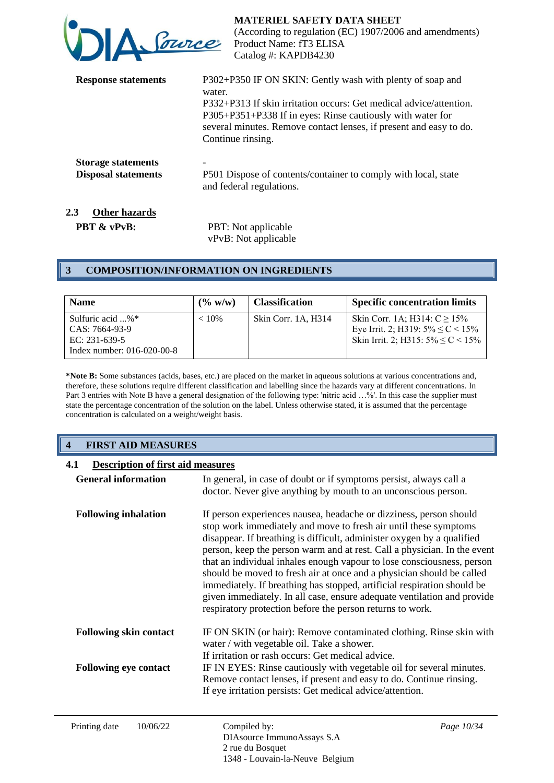| DA <u>Provice</u>                                                               | <b>MATERIEL SAFETY DATA SHEET</b><br>(According to regulation (EC) 1907/2006 and amendments)<br>Product Name: fT3 ELISA<br>Catalog #: KAPDB4230                                                                                                                                                    |
|---------------------------------------------------------------------------------|----------------------------------------------------------------------------------------------------------------------------------------------------------------------------------------------------------------------------------------------------------------------------------------------------|
| <b>Response statements</b>                                                      | P302+P350 IF ON SKIN: Gently wash with plenty of soap and<br>water.<br>P332+P313 If skin irritation occurs: Get medical advice/attention.<br>P305+P351+P338 If in eyes: Rinse cautiously with water for<br>several minutes. Remove contact lenses, if present and easy to do.<br>Continue rinsing. |
| <b>Storage statements</b><br><b>Disposal statements</b><br>2.3<br>Other hazards | P501 Dispose of contents/container to comply with local, state<br>and federal regulations.                                                                                                                                                                                                         |

**PBT & vPvB:** PBT: Not applicable vPvB: Not applicable

## **3 COMPOSITION/INFORMATION ON INGREDIENTS**

| <b>Name</b>                                                 | $($ % w/w) | <b>Classification</b> | <b>Specific concentration limits</b>                                                                                     |
|-------------------------------------------------------------|------------|-----------------------|--------------------------------------------------------------------------------------------------------------------------|
| Sulfuric acid $$ % $*$<br>CAS: 7664-93-9<br>EC: $231-639-5$ | $< 10\%$   | Skin Corr. 1A. H314   | Skin Corr. 1A; H314: $C \ge 15\%$<br>Eye Irrit. 2; H319: $5\% \leq C < 15\%$<br>Skin Irrit. 2; H315: $5\% \leq C < 15\%$ |
| Index number: 016-020-00-8                                  |            |                       |                                                                                                                          |

**\*Note B:** Some substances (acids, bases, etc.) are placed on the market in aqueous solutions at various concentrations and, therefore, these solutions require different classification and labelling since the hazards vary at different concentrations. In Part 3 entries with Note B have a general designation of the following type: 'nitric acid ...%'. In this case the supplier must state the percentage concentration of the solution on the label. Unless otherwise stated, it is assumed that the percentage concentration is calculated on a weight/weight basis.

## **4 FIRST AID MEASURES**

| 4.1<br><b>Description of first aid measures</b> |                                                                                                                                                                                                                                                                                                                                                                                                                                                                                                                                                                                                                                                                    |            |
|-------------------------------------------------|--------------------------------------------------------------------------------------------------------------------------------------------------------------------------------------------------------------------------------------------------------------------------------------------------------------------------------------------------------------------------------------------------------------------------------------------------------------------------------------------------------------------------------------------------------------------------------------------------------------------------------------------------------------------|------------|
| <b>General information</b>                      | In general, in case of doubt or if symptoms persist, always call a<br>doctor. Never give anything by mouth to an unconscious person.                                                                                                                                                                                                                                                                                                                                                                                                                                                                                                                               |            |
| <b>Following inhalation</b>                     | If person experiences nausea, headache or dizziness, person should<br>stop work immediately and move to fresh air until these symptoms<br>disappear. If breathing is difficult, administer oxygen by a qualified<br>person, keep the person warm and at rest. Call a physician. In the event<br>that an individual inhales enough vapour to lose consciousness, person<br>should be moved to fresh air at once and a physician should be called<br>immediately. If breathing has stopped, artificial respiration should be<br>given immediately. In all case, ensure adequate ventilation and provide<br>respiratory protection before the person returns to work. |            |
| <b>Following skin contact</b>                   | IF ON SKIN (or hair): Remove contaminated clothing. Rinse skin with<br>water / with vegetable oil. Take a shower.<br>If irritation or rash occurs: Get medical advice.                                                                                                                                                                                                                                                                                                                                                                                                                                                                                             |            |
| <b>Following eye contact</b>                    | IF IN EYES: Rinse cautiously with vegetable oil for several minutes.<br>Remove contact lenses, if present and easy to do. Continue rinsing.<br>If eye irritation persists: Get medical advice/attention.                                                                                                                                                                                                                                                                                                                                                                                                                                                           |            |
| Printing date<br>10/06/22                       | Compiled by:<br>DIAsource ImmunoAssays S.A                                                                                                                                                                                                                                                                                                                                                                                                                                                                                                                                                                                                                         | Page 10/34 |

2 rue du Bosquet

1348 - Louvain-la-Neuve Belgium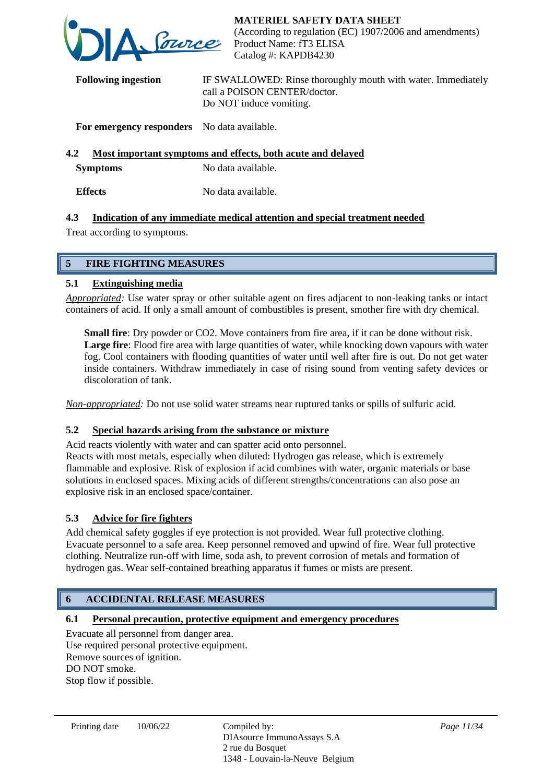

**Following ingestion** IF SWALLOWED: Rinse thoroughly mouth with water. Immediately call a POISON CENTER/doctor. Do NOT induce vomiting.

## **For emergency responders** No data available.

# **4.2 Most important symptoms and effects, both acute and delayed**

**Symptoms** No data available.

**Effects** No data available.

## **4.3 Indication of any immediate medical attention and special treatment needed**

Treat according to symptoms.

## **5 FIRE FIGHTING MEASURES**

## **5.1 Extinguishing media**

*Appropriated:* Use water spray or other suitable agent on fires adjacent to non-leaking tanks or intact containers of acid. If only a small amount of combustibles is present, smother fire with dry chemical.

**Small fire**: Dry powder or CO2. Move containers from fire area, if it can be done without risk. Large fire: Flood fire area with large quantities of water, while knocking down vapours with water fog. Cool containers with flooding quantities of water until well after fire is out. Do not get water inside containers. Withdraw immediately in case of rising sound from venting safety devices or discoloration of tank.

*Non-appropriated:* Do not use solid water streams near ruptured tanks or spills of sulfuric acid.

## **5.2 Special hazards arising from the substance or mixture**

Acid reacts violently with water and can spatter acid onto personnel. Reacts with most metals, especially when diluted: Hydrogen gas release, which is extremely flammable and explosive. Risk of explosion if acid combines with water, organic materials or base solutions in enclosed spaces. Mixing acids of different strengths/concentrations can also pose an explosive risk in an enclosed space/container.

## **5.3 Advice for fire fighters**

Add chemical safety goggles if eye protection is not provided. Wear full protective clothing. Evacuate personnel to a safe area. Keep personnel removed and upwind of fire. Wear full protective clothing. Neutralize run-off with lime, soda ash, to prevent corrosion of metals and formation of hydrogen gas. Wear self-contained breathing apparatus if fumes or mists are present.

## **6 ACCIDENTAL RELEASE MEASURES**

## **6.1 Personal precaution, protective equipment and emergency procedures**

Evacuate all personnel from danger area. Use required personal protective equipment. Remove sources of ignition. DO NOT smoke. Stop flow if possible.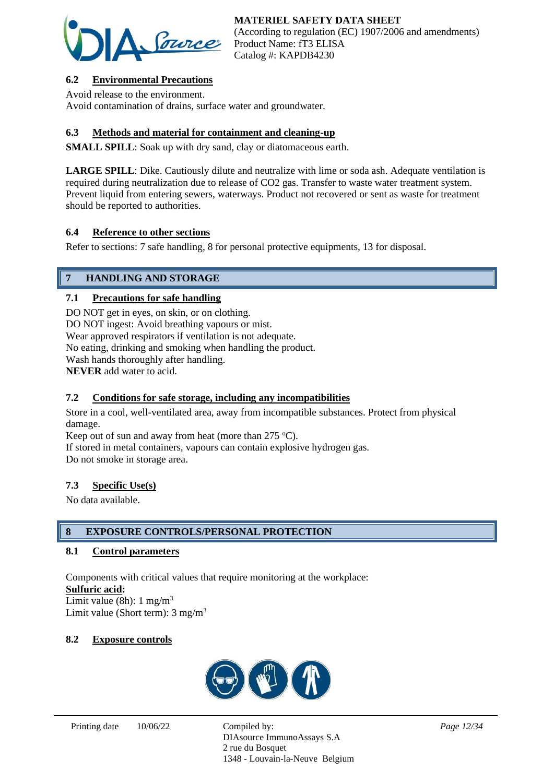

## **6.2 Environmental Precautions**

Avoid release to the environment. Avoid contamination of drains, surface water and groundwater.

## **6.3 Methods and material for containment and cleaning-up**

**SMALL SPILL**: Soak up with dry sand, clay or diatomaceous earth.

**LARGE SPILL**: Dike. Cautiously dilute and neutralize with lime or soda ash. Adequate ventilation is required during neutralization due to release of CO2 gas. Transfer to waste water treatment system. Prevent liquid from entering sewers, waterways. Product not recovered or sent as waste for treatment should be reported to authorities.

## **6.4 Reference to other sections**

Refer to sections: 7 safe handling, 8 for personal protective equipments, 13 for disposal.

## **7 HANDLING AND STORAGE**

## **7.1 Precautions for safe handling**

DO NOT get in eyes, on skin, or on clothing. DO NOT ingest: Avoid breathing vapours or mist. Wear approved respirators if ventilation is not adequate. No eating, drinking and smoking when handling the product. Wash hands thoroughly after handling. **NEVER** add water to acid.

## **7.2 Conditions for safe storage, including any incompatibilities**

Store in a cool, well-ventilated area, away from incompatible substances. Protect from physical damage.

Keep out of sun and away from heat (more than  $275 \text{ °C}$ ).

If stored in metal containers, vapours can contain explosive hydrogen gas. Do not smoke in storage area.

#### **7.3 Specific Use(s)**

No data available.

#### **8 EXPOSURE CONTROLS/PERSONAL PROTECTION**

#### **8.1 Control parameters**

Components with critical values that require monitoring at the workplace: **Sulfuric acid:**

Limit value (8h):  $1 \text{ mg/m}^3$ Limit value (Short term): 3 mg/m<sup>3</sup>

#### **8.2 Exposure controls**



DIAsource ImmunoAssays S.A 2 rue du Bosquet 1348 - Louvain-la-Neuve Belgium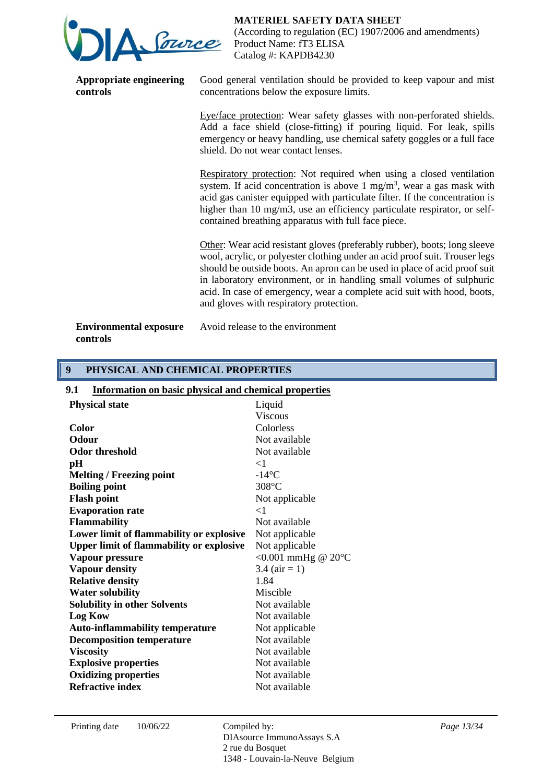

**Appropriate engineering controls**

**MATERIEL SAFETY DATA SHEET**

(According to regulation (EC) 1907/2006 and amendments) Product Name: fT3 ELISA Catalog #: KAPDB4230

Good general ventilation should be provided to keep vapour and mist concentrations below the exposure limits.

Eye/face protection: Wear safety glasses with non-perforated shields. Add a face shield (close-fitting) if pouring liquid. For leak, spills emergency or heavy handling, use chemical safety goggles or a full face shield. Do not wear contact lenses.

Respiratory protection: Not required when using a closed ventilation system. If acid concentration is above 1 mg/m<sup>3</sup>, wear a gas mask with acid gas canister equipped with particulate filter. If the concentration is higher than 10 mg/m3, use an efficiency particulate respirator, or selfcontained breathing apparatus with full face piece.

Other: Wear acid resistant gloves (preferably rubber), boots; long sleeve wool, acrylic, or polyester clothing under an acid proof suit. Trouser legs should be outside boots. An apron can be used in place of acid proof suit in laboratory environment, or in handling small volumes of sulphuric acid. In case of emergency, wear a complete acid suit with hood, boots, and gloves with respiratory protection.

**Environmental exposure controls**

Avoid release to the environment

## **9 PHYSICAL AND CHEMICAL PROPERTIES**

| <b>Information on basic physical and chemical properties</b><br>9.1 |                              |  |
|---------------------------------------------------------------------|------------------------------|--|
| <b>Physical state</b>                                               | Liquid                       |  |
|                                                                     | <b>Viscous</b>               |  |
| <b>Color</b>                                                        | Colorless                    |  |
| Odour                                                               | Not available                |  |
| <b>Odor threshold</b>                                               | Not available                |  |
| pН                                                                  | $\leq$ 1                     |  |
| <b>Melting / Freezing point</b>                                     | $-14$ °C                     |  |
| <b>Boiling point</b>                                                | 308°C                        |  |
| <b>Flash point</b>                                                  | Not applicable               |  |
| <b>Evaporation rate</b>                                             | $\leq$ 1                     |  |
| <b>Flammability</b>                                                 | Not available                |  |
| Lower limit of flammability or explosive                            | Not applicable               |  |
| <b>Upper limit of flammability or explosive</b>                     | Not applicable               |  |
| Vapour pressure                                                     | <0.001 mmHg @ $20^{\circ}$ C |  |
| <b>Vapour density</b>                                               | 3.4 ( $air = 1$ )            |  |
| <b>Relative density</b>                                             | 1.84                         |  |
| <b>Water solubility</b>                                             | Miscible                     |  |
| <b>Solubility in other Solvents</b>                                 | Not available                |  |
| <b>Log Kow</b>                                                      | Not available                |  |
| <b>Auto-inflammability temperature</b>                              | Not applicable               |  |
| <b>Decomposition temperature</b>                                    | Not available                |  |
| <b>Viscosity</b>                                                    | Not available                |  |
| <b>Explosive properties</b>                                         | Not available                |  |
| <b>Oxidizing properties</b>                                         | Not available                |  |
| <b>Refractive index</b>                                             | Not available                |  |

DIAsource ImmunoAssays S.A 2 rue du Bosquet 1348 - Louvain-la-Neuve Belgium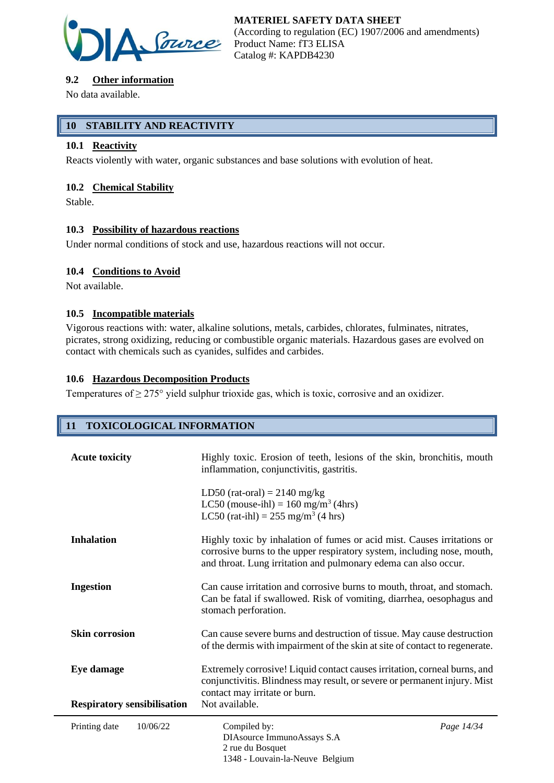

## **9.2 Other information**

No data available.

## **10 STABILITY AND REACTIVITY**

## **10.1 Reactivity**

Reacts violently with water, organic substances and base solutions with evolution of heat.

## **10.2 Chemical Stability**

Stable.

## **10.3 Possibility of hazardous reactions**

Under normal conditions of stock and use, hazardous reactions will not occur.

## **10.4 Conditions to Avoid**

Not available.

## **10.5 Incompatible materials**

Vigorous reactions with: water, alkaline solutions, metals, carbides, chlorates, fulminates, nitrates, picrates, strong oxidizing, reducing or combustible organic materials. Hazardous gases are evolved on contact with chemicals such as cyanides, sulfides and carbides.

## **10.6 Hazardous Decomposition Products**

Temperatures of  $\geq$  275° yield sulphur trioxide gas, which is toxic, corrosive and an oxidizer.

## **11 TOXICOLOGICAL INFORMATION**

| <b>Acute toxicity</b>              | Highly toxic. Erosion of teeth, lesions of the skin, bronchitis, mouth<br>inflammation, conjunctivitis, gastritis.                                                                                                    |            |
|------------------------------------|-----------------------------------------------------------------------------------------------------------------------------------------------------------------------------------------------------------------------|------------|
|                                    | LD50 (rat-oral) = $2140$ mg/kg<br>LC50 (mouse-ihl) = $160$ mg/m <sup>3</sup> (4hrs)<br>LC50 (rat-ihl) = $255 \text{ mg/m}^3$ (4 hrs)                                                                                  |            |
| <b>Inhalation</b>                  | Highly toxic by inhalation of fumes or acid mist. Causes irritations or<br>corrosive burns to the upper respiratory system, including nose, mouth,<br>and throat. Lung irritation and pulmonary edema can also occur. |            |
| <b>Ingestion</b>                   | Can cause irritation and corrosive burns to mouth, throat, and stomach.<br>Can be fatal if swallowed. Risk of vomiting, diarrhea, oesophagus and<br>stomach perforation.                                              |            |
| <b>Skin corrosion</b>              | Can cause severe burns and destruction of tissue. May cause destruction<br>of the dermis with impairment of the skin at site of contact to regenerate.                                                                |            |
| Eye damage                         | Extremely corrosive! Liquid contact causes irritation, corneal burns, and<br>conjunctivitis. Blindness may result, or severe or permanent injury. Mist<br>contact may irritate or burn.                               |            |
| <b>Respiratory sensibilisation</b> | Not available.                                                                                                                                                                                                        |            |
| Printing date<br>10/06/22          | Compiled by:<br>DIAsource ImmunoAssays S.A<br>2 rue du Bosquet<br>1348 - Louvain-la-Neuve Belgium                                                                                                                     | Page 14/34 |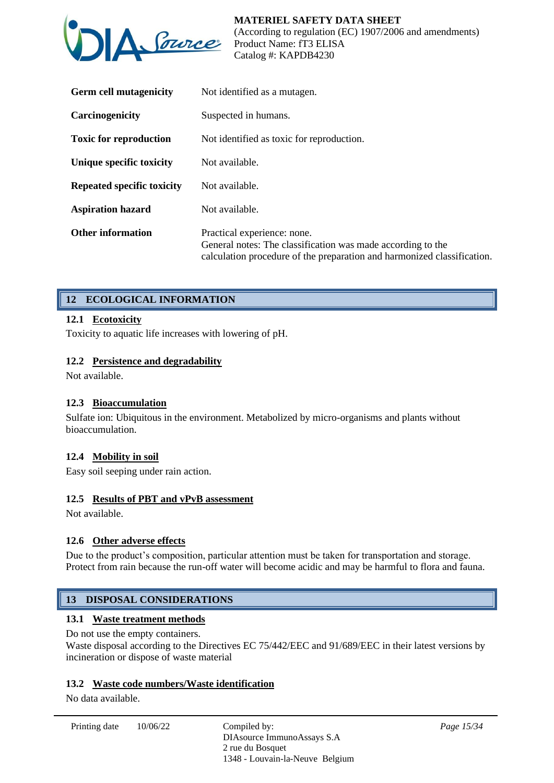

| <b>Germ cell mutagenicity</b>     | Not identified as a mutagen.                                                                                                                                          |
|-----------------------------------|-----------------------------------------------------------------------------------------------------------------------------------------------------------------------|
| Carcinogenicity                   | Suspected in humans.                                                                                                                                                  |
| <b>Toxic for reproduction</b>     | Not identified as toxic for reproduction.                                                                                                                             |
| Unique specific toxicity          | Not available.                                                                                                                                                        |
| <b>Repeated specific toxicity</b> | Not available.                                                                                                                                                        |
| <b>Aspiration hazard</b>          | Not available.                                                                                                                                                        |
| <b>Other information</b>          | Practical experience: none.<br>General notes: The classification was made according to the<br>calculation procedure of the preparation and harmonized classification. |

## **12 ECOLOGICAL INFORMATION**

## **12.1 Ecotoxicity**

Toxicity to aquatic life increases with lowering of pH.

## **12.2 Persistence and degradability**

Not available.

#### **12.3 Bioaccumulation**

Sulfate ion: Ubiquitous in the environment. Metabolized by micro-organisms and plants without bioaccumulation.

#### **12.4 Mobility in soil**

Easy soil seeping under rain action.

#### **12.5 Results of PBT and vPvB assessment**

Not available.

## **12.6 Other adverse effects**

Due to the product's composition, particular attention must be taken for transportation and storage. Protect from rain because the run-off water will become acidic and may be harmful to flora and fauna.

## **13 DISPOSAL CONSIDERATIONS**

## **13.1 Waste treatment methods**

Do not use the empty containers.

Waste disposal according to the Directives EC 75/442/EEC and 91/689/EEC in their latest versions by incineration or dispose of waste material

## **13.2 Waste code numbers/Waste identification**

No data available.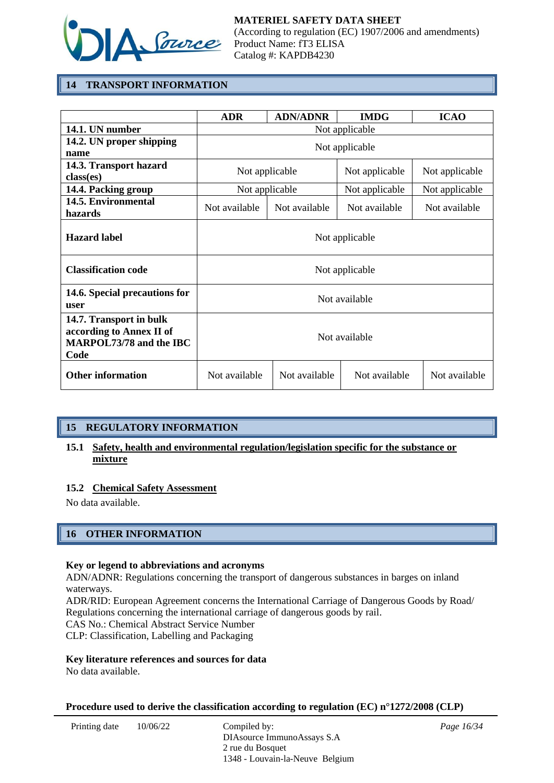

## **14 TRANSPORT INFORMATION**

|                                                                                        | <b>ADR</b>     | <b>ADN/ADNR</b> | <b>IMDG</b>    | <b>ICAO</b>    |
|----------------------------------------------------------------------------------------|----------------|-----------------|----------------|----------------|
| 14.1. UN number                                                                        | Not applicable |                 |                |                |
| 14.2. UN proper shipping<br>name                                                       | Not applicable |                 |                |                |
| 14.3. Transport hazard<br>class(es)                                                    | Not applicable |                 | Not applicable | Not applicable |
| 14.4. Packing group                                                                    | Not applicable |                 | Not applicable | Not applicable |
| 14.5. Environmental<br>hazards                                                         | Not available  | Not available   | Not available  | Not available  |
| <b>Hazard label</b>                                                                    |                |                 | Not applicable |                |
| <b>Classification code</b>                                                             |                |                 | Not applicable |                |
| 14.6. Special precautions for<br>user                                                  | Not available  |                 |                |                |
| 14.7. Transport in bulk<br>according to Annex II of<br>MARPOL73/78 and the IBC<br>Code | Not available  |                 |                |                |
| <b>Other information</b>                                                               | Not available  | Not available   | Not available  | Not available  |

## **15 REGULATORY INFORMATION**

## **15.1 Safety, health and environmental regulation/legislation specific for the substance or mixture**

#### **15.2 Chemical Safety Assessment**

No data available.

## **16 OTHER INFORMATION**

#### **Key or legend to abbreviations and acronyms**

ADN/ADNR: Regulations concerning the transport of dangerous substances in barges on inland waterways.

ADR/RID: European Agreement concerns the International Carriage of Dangerous Goods by Road/ Regulations concerning the international carriage of dangerous goods by rail.

CAS No.: Chemical Abstract Service Number

CLP: Classification, Labelling and Packaging

#### **Key literature references and sources for data**

No data available.

#### **Procedure used to derive the classification according to regulation (EC) n°1272/2008 (CLP)**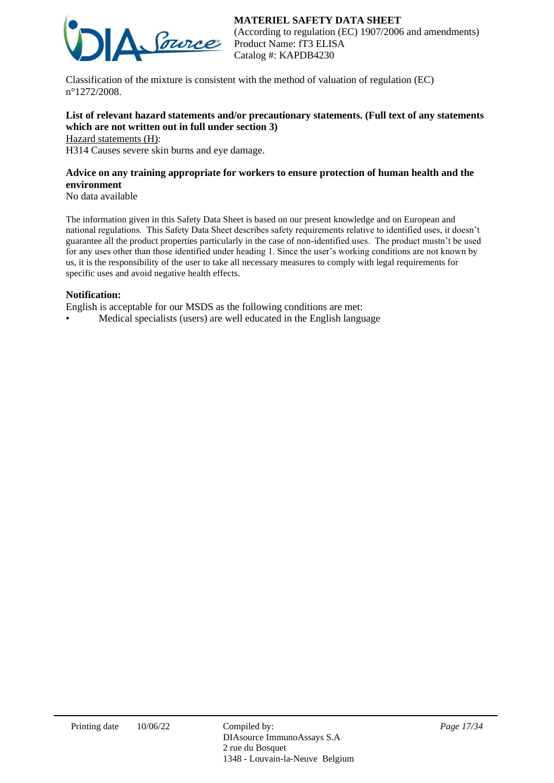



(According to regulation (EC) 1907/2006 and amendments) Product Name: fT3 ELISA Catalog #: KAPDB4230

Classification of the mixture is consistent with the method of valuation of regulation (EC) n°1272/2008.

## **List of relevant hazard statements and/or precautionary statements. (Full text of any statements which are not written out in full under section 3)**

Hazard statements (H):

H314 Causes severe skin burns and eye damage.

## **Advice on any training appropriate for workers to ensure protection of human health and the environment**

No data available

The information given in this Safety Data Sheet is based on our present knowledge and on European and national regulations. This Safety Data Sheet describes safety requirements relative to identified uses, it doesn't guarantee all the product properties particularly in the case of non-identified uses. The product mustn't be used for any uses other than those identified under heading 1. Since the user's working conditions are not known by us, it is the responsibility of the user to take all necessary measures to comply with legal requirements for specific uses and avoid negative health effects.

#### **Notification:**

English is acceptable for our MSDS as the following conditions are met:

• Medical specialists (users) are well educated in the English language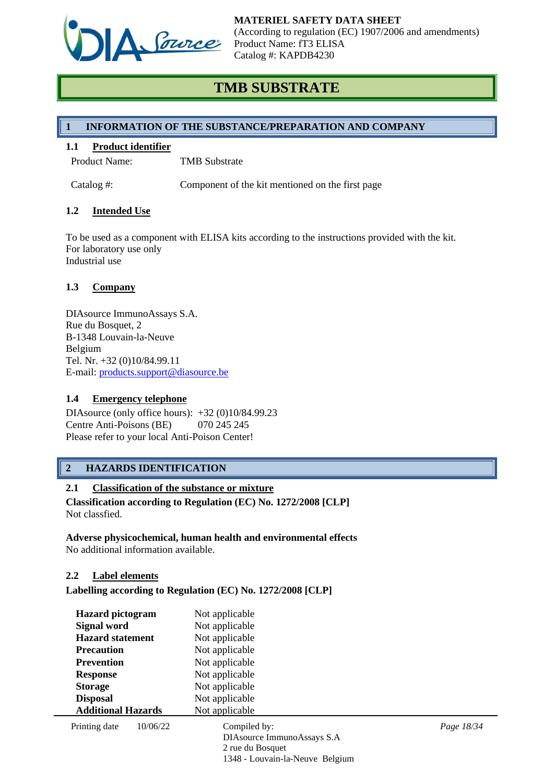

# **TMB SUBSTRATE**

## **1 INFORMATION OF THE SUBSTANCE/PREPARATION AND COMPANY**

#### **1.1 Product identifier**

Product Name: TMB Substrate

Catalog #: Component of the kit mentioned on the first page

## **1.2 Intended Use**

To be used as a component with ELISA kits according to the instructions provided with the kit. For laboratory use only Industrial use

## **1.3 Company**

DIAsource ImmunoAssays S.A. Rue du Bosquet, 2 B-1348 Louvain-la-Neuve Belgium Tel. Nr. +32 (0)10/84.99.11 E-mail: [products.support@diasource.be](mailto:products.support@diasource.be)

#### **1.4 Emergency telephone**

DIAsource (only office hours): +32 (0)10/84.99.23 Centre Anti-Poisons (BE) 070 245 245 Please refer to your local Anti-Poison Center!

## **2 HAZARDS IDENTIFICATION**

## **2.1 Classification of the substance or mixture**

**Classification according to Regulation (EC) No. 1272/2008 [CLP]** Not classfied.

#### **Adverse physicochemical, human health and environmental effects** No additional information available.

#### **2.2 Label elements**

**Labelling according to Regulation (EC) No. 1272/2008 [CLP]**

| <b>Hazard</b> pictogram   |          | Not applicable                  |            |  |
|---------------------------|----------|---------------------------------|------------|--|
| Signal word               |          | Not applicable                  |            |  |
| <b>Hazard statement</b>   |          | Not applicable                  |            |  |
| <b>Precaution</b>         |          | Not applicable                  |            |  |
| <b>Prevention</b>         |          | Not applicable                  |            |  |
| <b>Response</b>           |          | Not applicable                  |            |  |
| <b>Storage</b>            |          | Not applicable                  |            |  |
| <b>Disposal</b>           |          | Not applicable                  |            |  |
| <b>Additional Hazards</b> |          | Not applicable                  |            |  |
| Printing date             | 10/06/22 | Compiled by:                    | Page 18/34 |  |
|                           |          | DIAsource ImmunoAssays S.A      |            |  |
|                           |          | 2 rue du Bosquet                |            |  |
|                           |          | 1348 - Louvain-la-Neuve Belgium |            |  |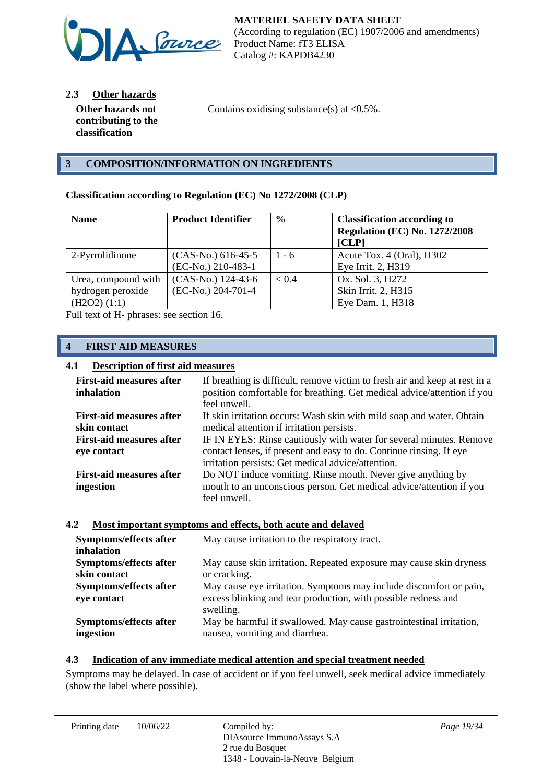

**2.3 Other hazards**

**Other hazards not contributing to the classification**

Contains oxidising substance(s) at  $\langle 0.5\% \rangle$ .

## **3 COMPOSITION/INFORMATION ON INGREDIENTS**

## **Classification according to Regulation (EC) No 1272/2008 (CLP)**

| <b>Name</b>         | <b>Product Identifier</b> | $\frac{6}{9}$ | <b>Classification according to</b><br><b>Regulation (EC) No. 1272/2008</b><br>[CLP] |
|---------------------|---------------------------|---------------|-------------------------------------------------------------------------------------|
| 2-Pyrrolidinone     | $(CAS-No.) 616-45-5$      | $1 - 6$       | Acute Tox. 4 (Oral), H302                                                           |
|                     | (EC-No.) 210-483-1        |               | Eye Irrit. 2, H319                                                                  |
| Urea, compound with | (CAS-No.) 124-43-6        | < 0.4         | Ox. Sol. 3, H272                                                                    |
| hydrogen peroxide   | (EC-No.) 204-701-4        |               | Skin Irrit. 2, H315                                                                 |
| (H2O2) (1:1)        |                           |               | Eye Dam. 1, H318                                                                    |

Full text of H- phrases: see section 16.

## **4 FIRST AID MEASURES**

## **4.1 Description of first aid measures**

| <b>First-aid measures after</b><br>inhalation | If breathing is difficult, remove victim to fresh air and keep at rest in a<br>position comfortable for breathing. Get medical advice/attention if you<br>feel unwell. |
|-----------------------------------------------|------------------------------------------------------------------------------------------------------------------------------------------------------------------------|
| <b>First-aid measures after</b>               | If skin irritation occurs: Wash skin with mild soap and water. Obtain                                                                                                  |
| skin contact                                  | medical attention if irritation persists.                                                                                                                              |
| <b>First-aid measures after</b>               | IF IN EYES: Rinse cautiously with water for several minutes. Remove                                                                                                    |
| eye contact                                   | contact lenses, if present and easy to do. Continue rinsing. If eye                                                                                                    |
|                                               | irritation persists: Get medical advice/attention.                                                                                                                     |
| <b>First-aid measures after</b>               | Do NOT induce vomiting. Rinse mouth. Never give anything by                                                                                                            |
| ingestion                                     | mouth to an unconscious person. Get medical advice/attention if you                                                                                                    |
|                                               | feel unwell.                                                                                                                                                           |

#### **4.2 Most important symptoms and effects, both acute and delayed**

| Symptoms/effects after<br>inhalation  | May cause irritation to the respiratory tract.                                                                                                    |
|---------------------------------------|---------------------------------------------------------------------------------------------------------------------------------------------------|
| Symptoms/effects after                | May cause skin irritation. Repeated exposure may cause skin dryness                                                                               |
| skin contact                          | or cracking.                                                                                                                                      |
| Symptoms/effects after<br>eye contact | May cause eye irritation. Symptoms may include discomfort or pain,<br>excess blinking and tear production, with possible redness and<br>swelling. |
| Symptoms/effects after                | May be harmful if swallowed. May cause gastrointestinal irritation,                                                                               |
| ingestion                             | nausea, vomiting and diarrhea.                                                                                                                    |

#### **4.3 Indication of any immediate medical attention and special treatment needed**

Symptoms may be delayed. In case of accident or if you feel unwell, seek medical advice immediately (show the label where possible).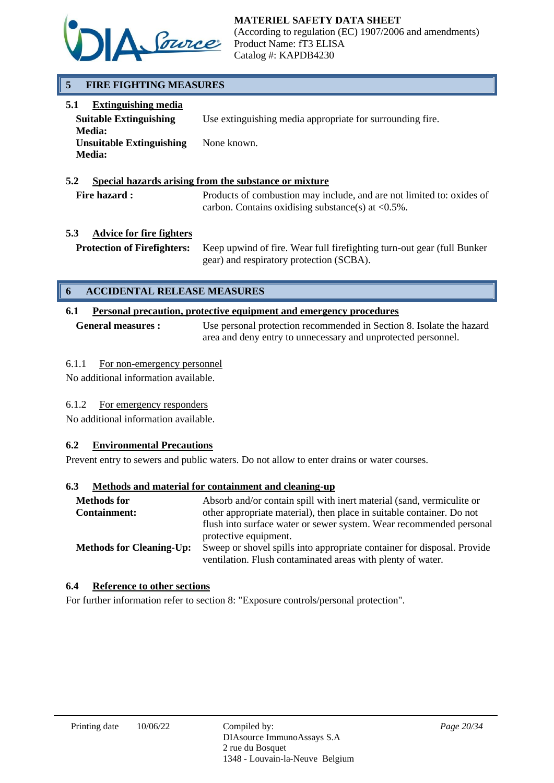

## **5 FIRE FIGHTING MEASURES**

| <b>Extinguishing media</b><br>5.1 |                                                           |
|-----------------------------------|-----------------------------------------------------------|
| <b>Suitable Extinguishing</b>     | Use extinguishing media appropriate for surrounding fire. |
| <b>Media:</b>                     |                                                           |
| <b>Unsuitable Extinguishing</b>   | None known.                                               |
| <b>Media:</b>                     |                                                           |
|                                   |                                                           |

#### **5.2 Special hazards arising from the substance or mixture**

Fire hazard : Products of combustion may include, and are not limited to: oxides of carbon. Contains oxidising substance(s) at  $\langle 0.5\% \rangle$ .

## **5.3 Advice for fire fighters**

**Protection of Firefighters:** Keep upwind of fire. Wear full firefighting turn-out gear (full Bunker gear) and respiratory protection (SCBA).

## **6 ACCIDENTAL RELEASE MEASURES**

## **6.1 Personal precaution, protective equipment and emergency procedures**

**General measures :** Use personal protection recommended in Section 8. Isolate the hazard area and deny entry to unnecessary and unprotected personnel.

## 6.1.1 For non-emergency personnel

No additional information available.

## 6.1.2 For emergency responders

No additional information available.

## **6.2 Environmental Precautions**

Prevent entry to sewers and public waters. Do not allow to enter drains or water courses.

#### **6.3 Methods and material for containment and cleaning-up**

| <b>Methods for</b><br><b>Containment:</b> | Absorb and/or contain spill with inert material (sand, vermiculite or<br>other appropriate material), then place in suitable container. Do not |  |
|-------------------------------------------|------------------------------------------------------------------------------------------------------------------------------------------------|--|
|                                           | flush into surface water or sewer system. Wear recommended personal                                                                            |  |
| <b>Methods for Cleaning-Up:</b>           | protective equipment.<br>Sweep or shovel spills into appropriate container for disposal. Provide                                               |  |
|                                           | ventilation. Flush contaminated areas with plenty of water.                                                                                    |  |

### **6.4 Reference to other sections**

For further information refer to section 8: "Exposure controls/personal protection".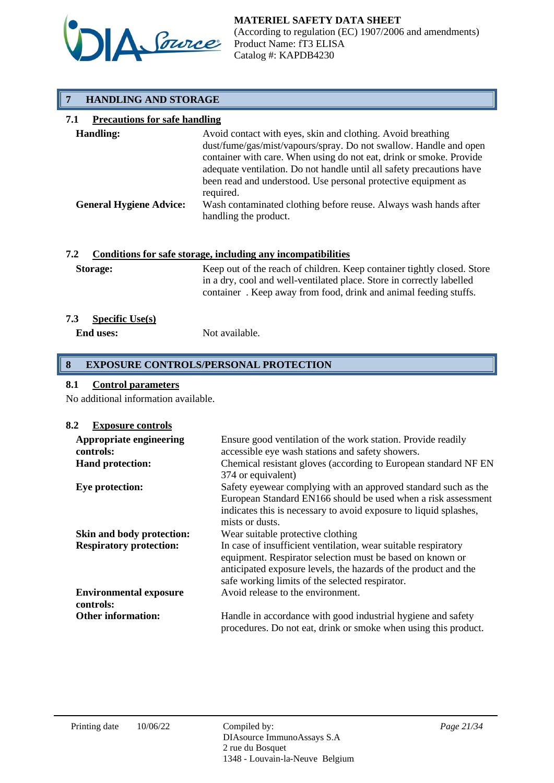

## **7 HANDLING AND STORAGE**

## **7.1 Precautions for safe handling**

| <b>Handling:</b>               | Avoid contact with eyes, skin and clothing. Avoid breathing<br>dust/fume/gas/mist/vapours/spray. Do not swallow. Handle and open<br>container with care. When using do not eat, drink or smoke. Provide<br>adequate ventilation. Do not handle until all safety precautions have |
|--------------------------------|----------------------------------------------------------------------------------------------------------------------------------------------------------------------------------------------------------------------------------------------------------------------------------|
| <b>General Hygiene Advice:</b> | been read and understood. Use personal protective equipment as<br>required.<br>Wash contaminated clothing before reuse. Always wash hands after<br>handling the product.                                                                                                         |

## **7.2 Conditions for safe storage, including any incompatibilities**

| <b>Storage:</b> | Keep out of the reach of children. Keep container tightly closed. Store |
|-----------------|-------------------------------------------------------------------------|
|                 | in a dry, cool and well-ventilated place. Store in correctly labelled   |
|                 | container. Keep away from food, drink and animal feeding stuffs.        |

## **7.3 Specific Use(s)**

**End uses:** Not available.

## **8 EXPOSURE CONTROLS/PERSONAL PROTECTION**

## **8.1 Control parameters**

No additional information available.

#### **8.2 Exposure controls**

| Appropriate engineering<br>controls:<br><b>Hand protection:</b> | Ensure good ventilation of the work station. Provide readily<br>accessible eye wash stations and safety showers.<br>Chemical resistant gloves (according to European standard NF EN                                                               |
|-----------------------------------------------------------------|---------------------------------------------------------------------------------------------------------------------------------------------------------------------------------------------------------------------------------------------------|
|                                                                 | 374 or equivalent)                                                                                                                                                                                                                                |
| Eye protection:                                                 | Safety eyewear complying with an approved standard such as the<br>European Standard EN166 should be used when a risk assessment<br>indicates this is necessary to avoid exposure to liquid splashes,<br>mists or dusts.                           |
| Skin and body protection:                                       | Wear suitable protective clothing                                                                                                                                                                                                                 |
| <b>Respiratory protection:</b>                                  | In case of insufficient ventilation, wear suitable respiratory<br>equipment. Respirator selection must be based on known or<br>anticipated exposure levels, the hazards of the product and the<br>safe working limits of the selected respirator. |
| <b>Environmental exposure</b><br>controls:                      | Avoid release to the environment.                                                                                                                                                                                                                 |
| <b>Other information:</b>                                       | Handle in accordance with good industrial hygiene and safety<br>procedures. Do not eat, drink or smoke when using this product.                                                                                                                   |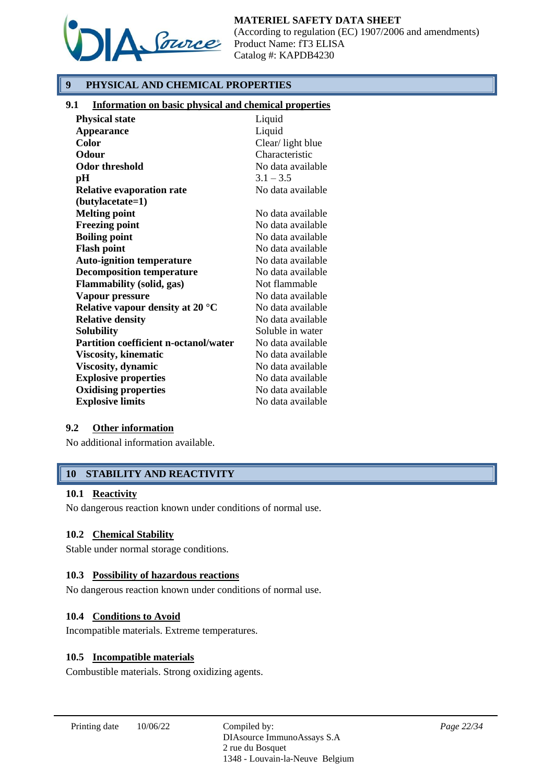

## **9 PHYSICAL AND CHEMICAL PROPERTIES**

## **9.1 Information on basic physical and chemical properties**

| <b>Physical state</b>                        | Liquid            |
|----------------------------------------------|-------------------|
| <b>Appearance</b>                            | Liquid            |
| <b>Color</b>                                 | Clear/light blue  |
| Odour                                        | Characteristic    |
| Odor threshold                               | No data available |
| pН                                           | $3.1 - 3.5$       |
| <b>Relative evaporation rate</b>             | No data available |
| (butylacetate=1)                             |                   |
| <b>Melting point</b>                         | No data available |
| <b>Freezing point</b>                        | No data available |
| <b>Boiling point</b>                         | No data available |
| <b>Flash point</b>                           | No data available |
| <b>Auto-ignition temperature</b>             | No data available |
| <b>Decomposition temperature</b>             | No data available |
| <b>Flammability (solid, gas)</b>             | Not flammable     |
| Vapour pressure                              | No data available |
| Relative vapour density at 20 $\degree$ C    | No data available |
| <b>Relative density</b>                      | No data available |
| <b>Solubility</b>                            | Soluble in water  |
| <b>Partition coefficient n-octanol/water</b> | No data available |
| <b>Viscosity, kinematic</b>                  | No data available |
| Viscosity, dynamic                           | No data available |
| <b>Explosive properties</b>                  | No data available |
| <b>Oxidising properties</b>                  | No data available |
| <b>Explosive limits</b>                      | No data available |

#### **9.2 Other information**

No additional information available.

## **10 STABILITY AND REACTIVITY**

#### **10.1 Reactivity**

No dangerous reaction known under conditions of normal use.

#### **10.2 Chemical Stability**

Stable under normal storage conditions.

#### **10.3 Possibility of hazardous reactions**

No dangerous reaction known under conditions of normal use.

#### **10.4 Conditions to Avoid**

Incompatible materials. Extreme temperatures.

#### **10.5 Incompatible materials**

Combustible materials. Strong oxidizing agents.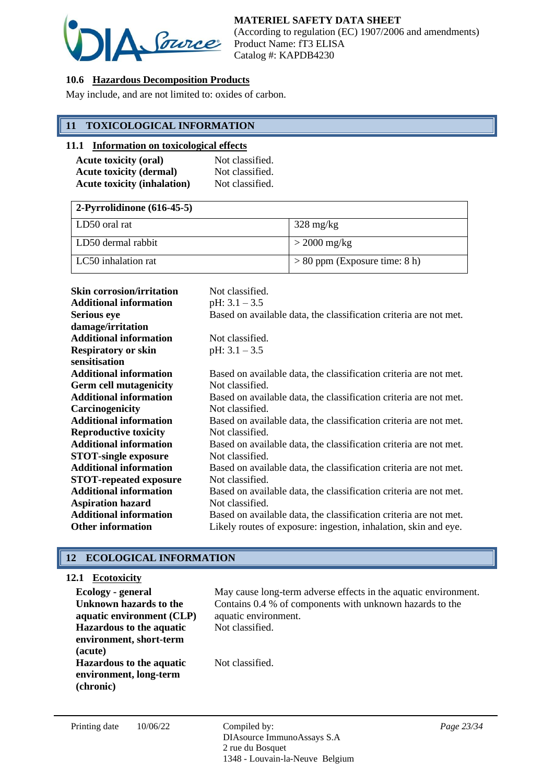

## **10.6 Hazardous Decomposition Products**

May include, and are not limited to: oxides of carbon.

## **11 TOXICOLOGICAL INFORMATION**

#### **11.1 Information on toxicological effects**

| <b>Acute toxicity (oral)</b>       | Not classified. |
|------------------------------------|-----------------|
| <b>Acute toxicity (dermal)</b>     | Not classified. |
| <b>Acute toxicity (inhalation)</b> | Not classified. |

| $2$ -Pyrrolidinone (616-45-5) |                                 |
|-------------------------------|---------------------------------|
| LD50 oral rat                 | $328 \text{ mg/kg}$             |
| LD50 dermal rabbit            | $>$ 2000 mg/kg                  |
| LC50 inhalation rat           | $> 80$ ppm (Exposure time: 8 h) |

| <b>Skin corrosion/irritation</b> | Not classified.                                                   |
|----------------------------------|-------------------------------------------------------------------|
| <b>Additional information</b>    | pH: $3.1 - 3.5$                                                   |
| <b>Serious eye</b>               | Based on available data, the classification criteria are not met. |
| damage/irritation                |                                                                   |
| <b>Additional information</b>    | Not classified.                                                   |
| <b>Respiratory or skin</b>       | pH: $3.1 - 3.5$                                                   |
| sensitisation                    |                                                                   |
| <b>Additional information</b>    | Based on available data, the classification criteria are not met. |
| <b>Germ cell mutagenicity</b>    | Not classified.                                                   |
| <b>Additional information</b>    | Based on available data, the classification criteria are not met. |
| Carcinogenicity                  | Not classified.                                                   |
| <b>Additional information</b>    | Based on available data, the classification criteria are not met. |
| <b>Reproductive toxicity</b>     | Not classified.                                                   |
| <b>Additional information</b>    | Based on available data, the classification criteria are not met. |
| <b>STOT-single exposure</b>      | Not classified.                                                   |
| <b>Additional information</b>    | Based on available data, the classification criteria are not met. |
| <b>STOT-repeated exposure</b>    | Not classified.                                                   |
| <b>Additional information</b>    | Based on available data, the classification criteria are not met. |
| <b>Aspiration hazard</b>         | Not classified.                                                   |
| <b>Additional information</b>    | Based on available data, the classification criteria are not met. |
| <b>Other information</b>         | Likely routes of exposure: ingestion, inhalation, skin and eye.   |

## **12 ECOLOGICAL INFORMATION**

## **12.1 Ecotoxicity**

| Ecology - general<br>Unknown hazards to the<br>aquatic environment (CLP) | May cause long-term adverse effects in the aquatic environment.<br>Contains 0.4 % of components with unknown hazards to the<br>aquatic environment. |
|--------------------------------------------------------------------------|-----------------------------------------------------------------------------------------------------------------------------------------------------|
| <b>Hazardous to the aquatic</b><br>environment, short-term<br>(acute)    | Not classified.                                                                                                                                     |
| <b>Hazardous to the aquatic</b><br>environment, long-term<br>(chronic)   | Not classified.                                                                                                                                     |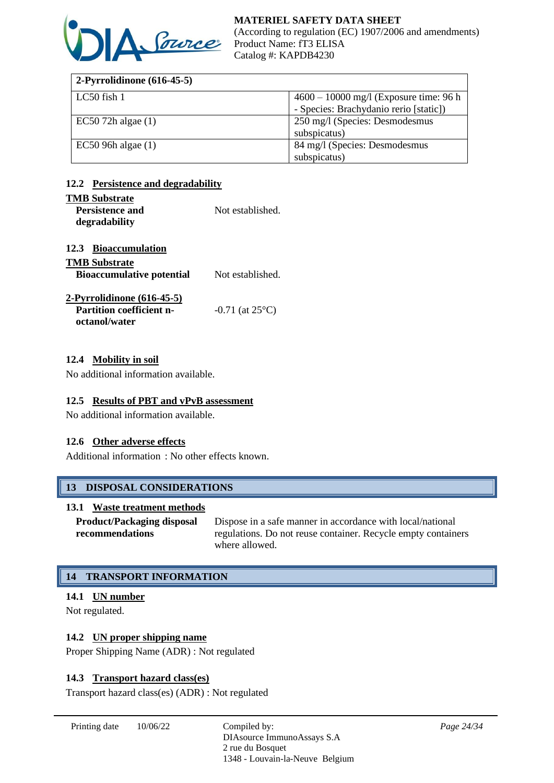

| 2-Pyrrolidinone $(616-45-5)$ |                                          |
|------------------------------|------------------------------------------|
| LC50 fish 1                  | $4600 - 10000$ mg/l (Exposure time: 96 h |
|                              | - Species: Brachydanio rerio [static])   |
| $EC50$ 72h algae $(1)$       | 250 mg/l (Species: Desmodesmus           |
|                              | subspicatus)                             |
| $EC50$ 96h algae $(1)$       | 84 mg/l (Species: Desmodesmus            |
|                              | subspicatus)                             |

## **12.2 Persistence and degradability**

#### **TMB Substrate**

| $\cdots$               |                  |
|------------------------|------------------|
| <b>Persistence and</b> | Not established. |
| degradability          |                  |

#### **12.3 Bioaccumulation**

| <b>TMB Substrate</b>             |                             |
|----------------------------------|-----------------------------|
| <b>Bioaccumulative potential</b> | Not established.            |
| $2$ -Pyrrolidinone $(616-45-5)$  |                             |
| <b>Partition coefficient n-</b>  | $-0.71$ (at $25^{\circ}$ C) |

## **12.4 Mobility in soil**

**octanol/water**

No additional information available.

#### **12.5 Results of PBT and vPvB assessment**

No additional information available.

#### **12.6 Other adverse effects**

Additional information : No other effects known.

## **13 DISPOSAL CONSIDERATIONS**

#### **13.1 Waste treatment methods**

**Product/Packaging disposal recommendations** Dispose in a safe manner in accordance with local/national regulations. Do not reuse container. Recycle empty containers where allowed.

## **14 TRANSPORT INFORMATION**

## **14.1 UN number**

Not regulated.

## **14.2 UN proper shipping name**

Proper Shipping Name (ADR) : Not regulated

#### **14.3 Transport hazard class(es)**

Transport hazard class(es) (ADR) : Not regulated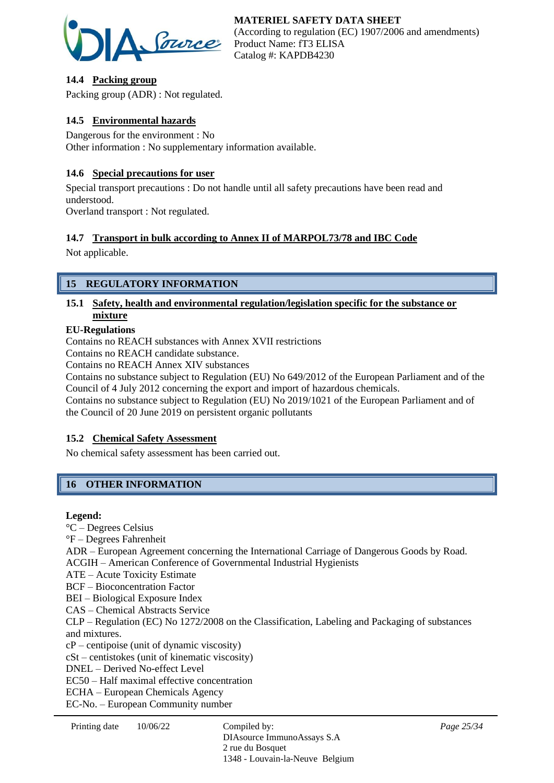

## **14.4 Packing group**

Packing group (ADR) : Not regulated.

## **14.5 Environmental hazards**

Dangerous for the environment : No Other information : No supplementary information available.

## **14.6 Special precautions for user**

Special transport precautions : Do not handle until all safety precautions have been read and understood.

Overland transport : Not regulated.

## **14.7 Transport in bulk according to Annex II of MARPOL73/78 and IBC Code**

Not applicable.

## **15 REGULATORY INFORMATION**

## **15.1 Safety, health and environmental regulation/legislation specific for the substance or mixture**

## **EU-Regulations**

Contains no REACH substances with Annex XVII restrictions

Contains no REACH candidate substance.

Contains no REACH Annex XIV substances

Contains no substance subject to Regulation (EU) No 649/2012 of the European Parliament and of the Council of 4 July 2012 concerning the export and import of hazardous chemicals.

Contains no substance subject to Regulation (EU) No 2019/1021 of the European Parliament and of the Council of 20 June 2019 on persistent organic pollutants

## **15.2 Chemical Safety Assessment**

No chemical safety assessment has been carried out.

## **16 OTHER INFORMATION**

#### **Legend:**

°C – Degrees Celsius °F – Degrees Fahrenheit ADR – European Agreement concerning the International Carriage of Dangerous Goods by Road. ACGIH – American Conference of Governmental Industrial Hygienists ATE – Acute Toxicity Estimate BCF – Bioconcentration Factor BEI – Biological Exposure Index CAS – Chemical Abstracts Service CLP – Regulation (EC) No 1272/2008 on the Classification, Labeling and Packaging of substances and mixtures. cP – centipoise (unit of dynamic viscosity) cSt – centistokes (unit of kinematic viscosity) DNEL – Derived No-effect Level EC50 – Half maximal effective concentration ECHA – European Chemicals Agency EC-No. – European Community number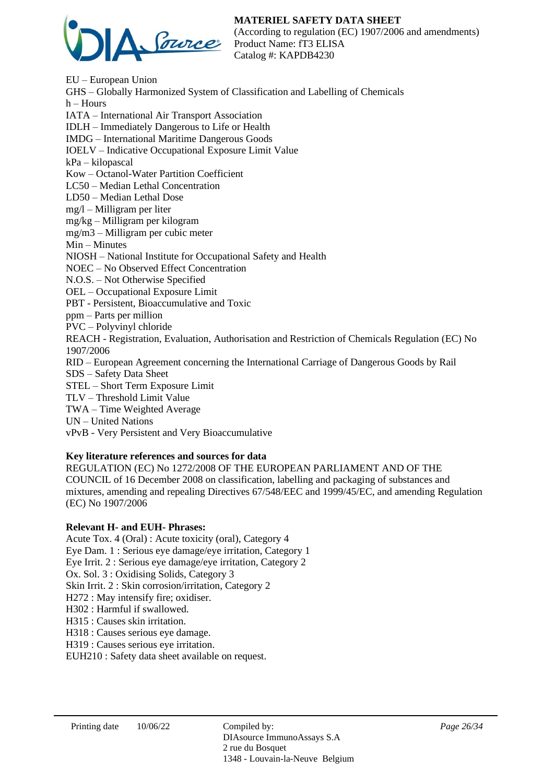## **MATERIEL SAFETY DATA SHEET**



(According to regulation (EC) 1907/2006 and amendments) Product Name: fT3 ELISA Catalog #: KAPDB4230

EU – European Union GHS – Globally Harmonized System of Classification and Labelling of Chemicals  $h -$  Hours IATA – International Air Transport Association IDLH – Immediately Dangerous to Life or Health IMDG – International Maritime Dangerous Goods IOELV – Indicative Occupational Exposure Limit Value kPa – kilopascal Kow – Octanol-Water Partition Coefficient LC50 – Median Lethal Concentration LD50 – Median Lethal Dose mg/l – Milligram per liter mg/kg – Milligram per kilogram mg/m3 – Milligram per cubic meter Min – Minutes NIOSH – National Institute for Occupational Safety and Health NOEC – No Observed Effect Concentration N.O.S. – Not Otherwise Specified OEL – Occupational Exposure Limit PBT - Persistent, Bioaccumulative and Toxic ppm – Parts per million PVC – Polyvinyl chloride REACH - Registration, Evaluation, Authorisation and Restriction of Chemicals Regulation (EC) No 1907/2006 RID – European Agreement concerning the International Carriage of Dangerous Goods by Rail SDS – Safety Data Sheet STEL – Short Term Exposure Limit TLV – Threshold Limit Value TWA – Time Weighted Average UN – United Nations vPvB - Very Persistent and Very Bioaccumulative

## **Key literature references and sources for data**

REGULATION (EC) No 1272/2008 OF THE EUROPEAN PARLIAMENT AND OF THE COUNCIL of 16 December 2008 on classification, labelling and packaging of substances and mixtures, amending and repealing Directives 67/548/EEC and 1999/45/EC, and amending Regulation (EC) No 1907/2006

#### **Relevant H- and EUH- Phrases:**

Acute Tox. 4 (Oral) : Acute toxicity (oral), Category 4 Eye Dam. 1 : Serious eye damage/eye irritation, Category 1 Eye Irrit. 2 : Serious eye damage/eye irritation, Category 2 Ox. Sol. 3 : Oxidising Solids, Category 3 Skin Irrit. 2 : Skin corrosion/irritation, Category 2 H272 : May intensify fire; oxidiser. H302 : Harmful if swallowed. H315 : Causes skin irritation. H318 : Causes serious eye damage. H319 : Causes serious eye irritation.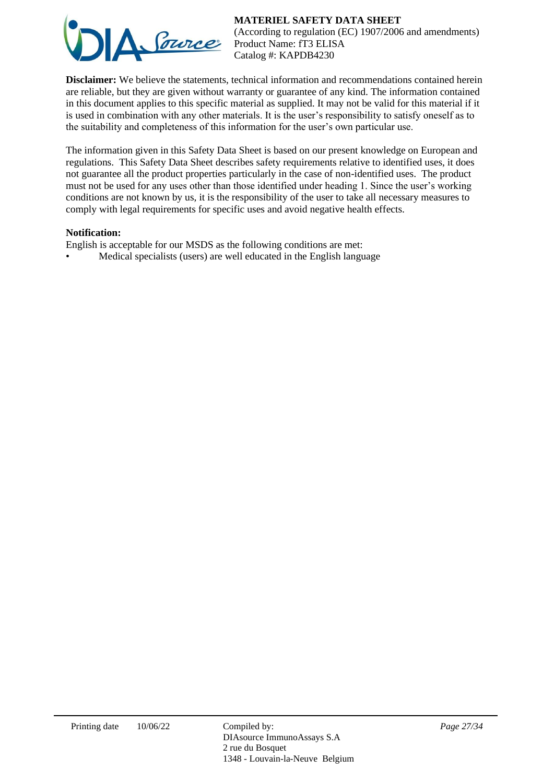## **MATERIEL SAFETY DATA SHEET**



(According to regulation (EC) 1907/2006 and amendments) Product Name: fT3 ELISA Catalog #: KAPDB4230

**Disclaimer:** We believe the statements, technical information and recommendations contained herein are reliable, but they are given without warranty or guarantee of any kind. The information contained in this document applies to this specific material as supplied. It may not be valid for this material if it is used in combination with any other materials. It is the user's responsibility to satisfy oneself as to the suitability and completeness of this information for the user's own particular use.

The information given in this Safety Data Sheet is based on our present knowledge on European and regulations. This Safety Data Sheet describes safety requirements relative to identified uses, it does not guarantee all the product properties particularly in the case of non-identified uses. The product must not be used for any uses other than those identified under heading 1. Since the user's working conditions are not known by us, it is the responsibility of the user to take all necessary measures to comply with legal requirements for specific uses and avoid negative health effects.

## **Notification:**

English is acceptable for our MSDS as the following conditions are met:

• Medical specialists (users) are well educated in the English language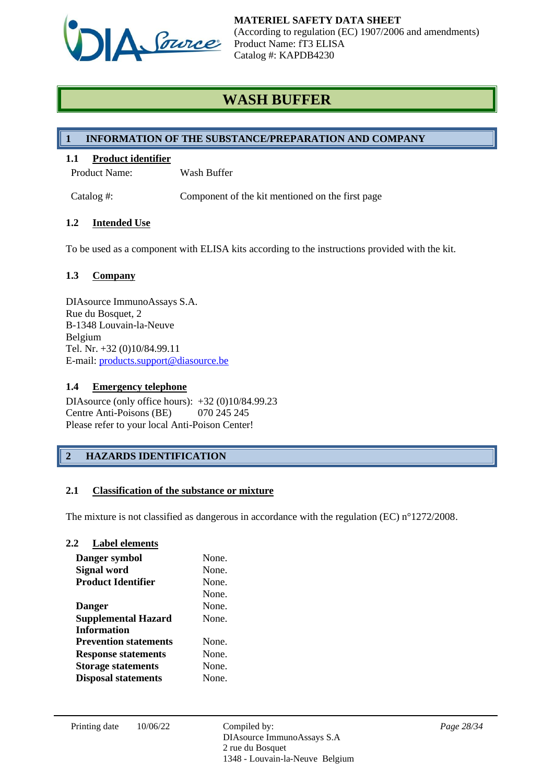

# **WASH BUFFER**

## **1 INFORMATION OF THE SUBSTANCE/PREPARATION AND COMPANY**

## **1.1 Product identifier**

Product Name: Wash Buffer

Catalog #: Component of the kit mentioned on the first page

## **1.2 Intended Use**

To be used as a component with ELISA kits according to the instructions provided with the kit.

## **1.3 Company**

DIAsource ImmunoAssays S.A. Rue du Bosquet, 2 B-1348 Louvain-la-Neuve Belgium Tel. Nr. +32 (0)10/84.99.11 E-mail: [products.support@diasource.be](mailto:products.support@diasource.be)

## **1.4 Emergency telephone**

DIAsource (only office hours): +32 (0)10/84.99.23 Centre Anti-Poisons (BE) 070 245 245 Please refer to your local Anti-Poison Center!

## **2 HAZARDS IDENTIFICATION**

## **2.1 Classification of the substance or mixture**

The mixture is not classified as dangerous in accordance with the regulation (EC) n°1272/2008.

#### **2.2 Label elements**

| Danger symbol                | None. |
|------------------------------|-------|
| <b>Signal word</b>           | None. |
| <b>Product Identifier</b>    | None. |
|                              | None. |
| <b>Danger</b>                | None. |
| <b>Supplemental Hazard</b>   | None. |
| <b>Information</b>           |       |
| <b>Prevention statements</b> | None  |
| <b>Response statements</b>   | None. |
| <b>Storage statements</b>    | None. |
| <b>Disposal statements</b>   | None. |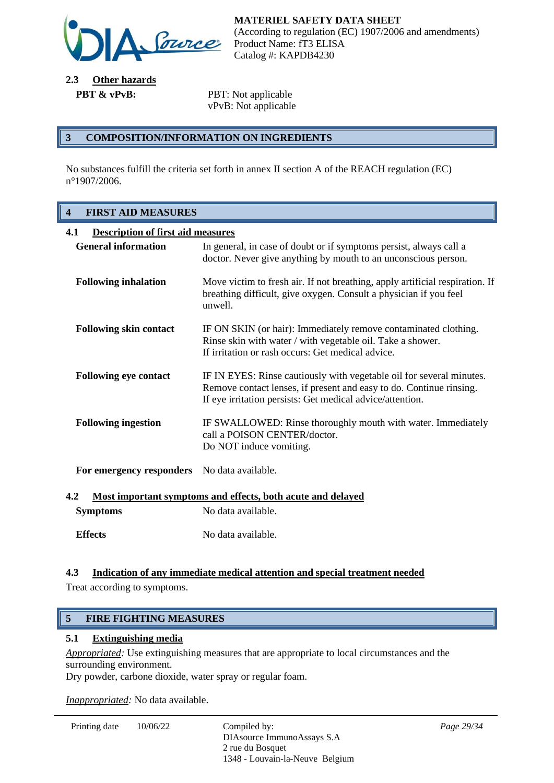

**2.3 Other hazards PBT & vPvB:** PBT: Not applicable

vPvB: Not applicable

#### **3 COMPOSITION/INFORMATION ON INGREDIENTS**

No substances fulfill the criteria set forth in annex II section A of the REACH regulation (EC) n°1907/2006.

## **4 FIRST AID MEASURES**

| 4.1<br><b>Description of first aid measures</b>                    |                                                                                                                                                                                                          |  |
|--------------------------------------------------------------------|----------------------------------------------------------------------------------------------------------------------------------------------------------------------------------------------------------|--|
| <b>General information</b>                                         | In general, in case of doubt or if symptoms persist, always call a<br>doctor. Never give anything by mouth to an unconscious person.                                                                     |  |
| <b>Following inhalation</b>                                        | Move victim to fresh air. If not breathing, apply artificial respiration. If<br>breathing difficult, give oxygen. Consult a physician if you feel<br>unwell.                                             |  |
| <b>Following skin contact</b>                                      | IF ON SKIN (or hair): Immediately remove contaminated clothing.<br>Rinse skin with water / with vegetable oil. Take a shower.<br>If irritation or rash occurs: Get medical advice.                       |  |
| <b>Following eye contact</b>                                       | IF IN EYES: Rinse cautiously with vegetable oil for several minutes.<br>Remove contact lenses, if present and easy to do. Continue rinsing.<br>If eye irritation persists: Get medical advice/attention. |  |
| <b>Following ingestion</b>                                         | IF SWALLOWED: Rinse thoroughly mouth with water. Immediately<br>call a POISON CENTER/doctor.<br>Do NOT induce vomiting.                                                                                  |  |
| For emergency responders                                           | No data available.                                                                                                                                                                                       |  |
| 4.2<br>Most important symptoms and effects, both acute and delayed |                                                                                                                                                                                                          |  |

| <b>Symptoms</b> | No data available. |
|-----------------|--------------------|
| <b>Effects</b>  | No data available. |

## **4.3 Indication of any immediate medical attention and special treatment needed**

Treat according to symptoms.

## **5 FIRE FIGHTING MEASURES**

#### **5.1 Extinguishing media**

*Appropriated:* Use extinguishing measures that are appropriate to local circumstances and the surrounding environment.

Dry powder, carbone dioxide, water spray or regular foam.

*Inappropriated:* No data available.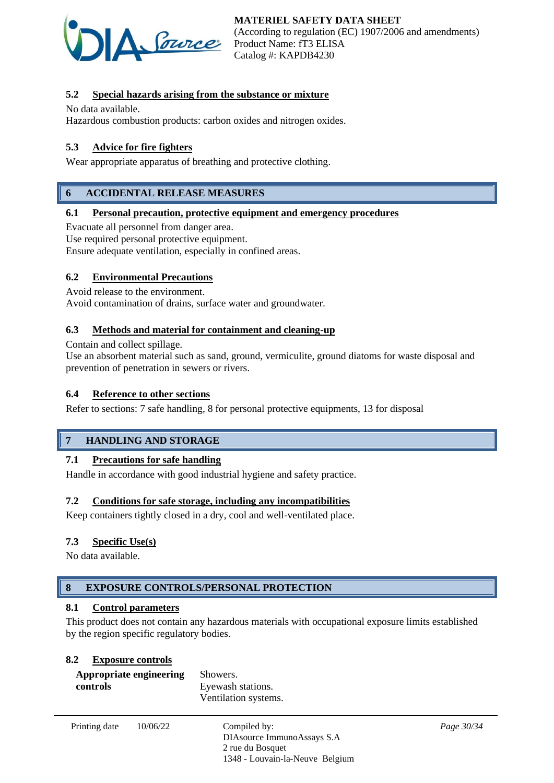

## **5.2 Special hazards arising from the substance or mixture**

No data available.

Hazardous combustion products: carbon oxides and nitrogen oxides.

## **5.3 Advice for fire fighters**

Wear appropriate apparatus of breathing and protective clothing.

## **6 ACCIDENTAL RELEASE MEASURES**

#### **6.1 Personal precaution, protective equipment and emergency procedures**

Evacuate all personnel from danger area.

Use required personal protective equipment.

Ensure adequate ventilation, especially in confined areas.

#### **6.2 Environmental Precautions**

Avoid release to the environment.

Avoid contamination of drains, surface water and groundwater.

#### **6.3 Methods and material for containment and cleaning-up**

Contain and collect spillage.

Use an absorbent material such as sand, ground, vermiculite, ground diatoms for waste disposal and prevention of penetration in sewers or rivers.

#### **6.4 Reference to other sections**

Refer to sections: 7 safe handling, 8 for personal protective equipments, 13 for disposal

## **7 HANDLING AND STORAGE**

#### **7.1 Precautions for safe handling**

Handle in accordance with good industrial hygiene and safety practice.

#### **7.2 Conditions for safe storage, including any incompatibilities**

Keep containers tightly closed in a dry, cool and well-ventilated place.

#### **7.3 Specific Use(s)**

No data available.

## **8 EXPOSURE CONTROLS/PERSONAL PROTECTION**

#### **8.1 Control parameters**

This product does not contain any hazardous materials with occupational exposure limits established by the region specific regulatory bodies.

#### **8.2 Exposure controls**

| Appropriate engineering | Showers.             |
|-------------------------|----------------------|
| controls                | Eyewash stations.    |
|                         | Ventilation systems. |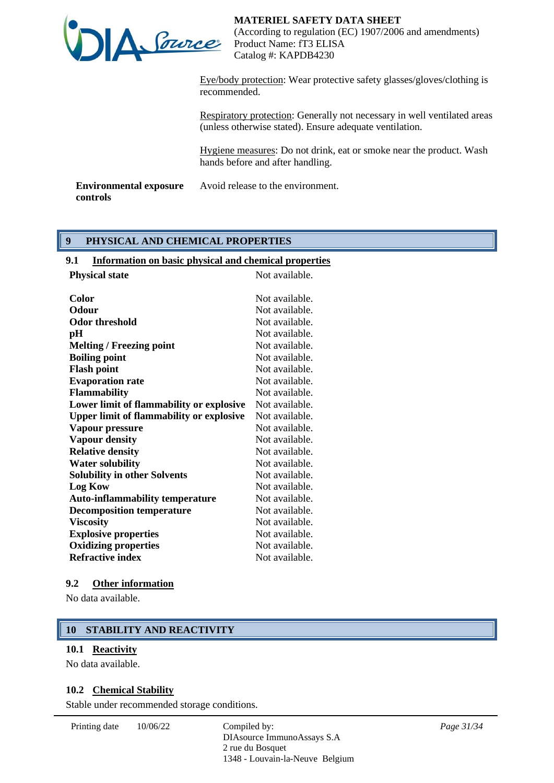

Eye/body protection: Wear protective safety glasses/gloves/clothing is recommended.

Respiratory protection: Generally not necessary in well ventilated areas (unless otherwise stated). Ensure adequate ventilation.

Hygiene measures: Do not drink, eat or smoke near the product. Wash hands before and after handling.

**Environmental exposure controls** Avoid release to the environment.

## **9 PHYSICAL AND CHEMICAL PROPERTIES**

## **9.1 Information on basic physical and chemical properties**

| <b>Physical state</b>                           | Not available. |
|-------------------------------------------------|----------------|
| Color                                           | Not available. |
| <b>Odour</b>                                    | Not available. |
| <b>Odor threshold</b>                           | Not available. |
| pH                                              | Not available. |
| <b>Melting / Freezing point</b>                 | Not available. |
| <b>Boiling point</b>                            | Not available. |
| <b>Flash point</b>                              | Not available. |
| <b>Evaporation rate</b>                         | Not available. |
| <b>Flammability</b>                             | Not available. |
| Lower limit of flammability or explosive        | Not available. |
| <b>Upper limit of flammability or explosive</b> | Not available. |
| Vapour pressure                                 | Not available. |
| <b>Vapour density</b>                           | Not available. |
| <b>Relative density</b>                         | Not available. |
| <b>Water solubility</b>                         | Not available. |
| <b>Solubility in other Solvents</b>             | Not available. |
| <b>Log Kow</b>                                  | Not available. |
| <b>Auto-inflammability temperature</b>          | Not available. |
| <b>Decomposition temperature</b>                | Not available. |
| <b>Viscosity</b>                                | Not available. |
| <b>Explosive properties</b>                     | Not available. |
| <b>Oxidizing properties</b>                     | Not available. |
| <b>Refractive index</b>                         | Not available. |
|                                                 |                |

#### **9.2 Other information**

No data available.

## **10 STABILITY AND REACTIVITY**

#### **10.1 Reactivity**

No data available.

#### **10.2 Chemical Stability**

Stable under recommended storage conditions.

Printing date  $10/06/22$  Compiled by:

DIAsource ImmunoAssays S.A 2 rue du Bosquet 1348 - Louvain-la-Neuve Belgium *Page 31/34*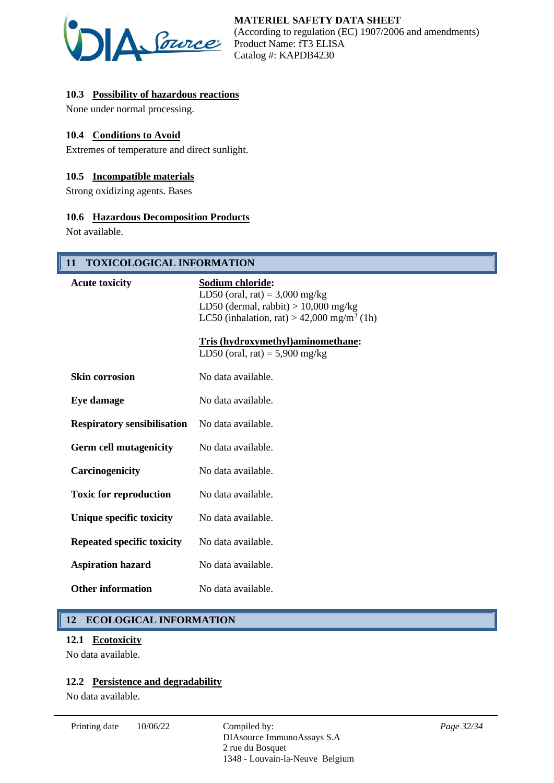

## **10.3 Possibility of hazardous reactions**

None under normal processing.

## **10.4 Conditions to Avoid**

Extremes of temperature and direct sunlight.

#### **10.5 Incompatible materials**

Strong oxidizing agents. Bases

#### **10.6 Hazardous Decomposition Products**

Not available.

## **11 TOXICOLOGICAL INFORMATION**

| <b>Acute toxicity</b>              | Sodium chloride:<br>LD50 (oral, rat) = $3,000$ mg/kg<br>LD50 (dermal, rabbit) $> 10,000$ mg/kg<br>LC50 (inhalation, rat) > 42,000 mg/m <sup>3</sup> (1h) |
|------------------------------------|----------------------------------------------------------------------------------------------------------------------------------------------------------|
|                                    | <b>Tris (hydroxymethyl)aminomethane:</b><br>LD50 (oral, rat) = $5,900$ mg/kg                                                                             |
| <b>Skin corrosion</b>              | No data available.                                                                                                                                       |
| Eye damage                         | No data available.                                                                                                                                       |
| <b>Respiratory sensibilisation</b> | No data available.                                                                                                                                       |
| <b>Germ cell mutagenicity</b>      | No data available.                                                                                                                                       |
| Carcinogenicity                    | No data available.                                                                                                                                       |
| <b>Toxic for reproduction</b>      | No data available.                                                                                                                                       |
| Unique specific toxicity           | No data available.                                                                                                                                       |
| <b>Repeated specific toxicity</b>  | No data available.                                                                                                                                       |
| <b>Aspiration hazard</b>           | No data available.                                                                                                                                       |
| <b>Other information</b>           | No data available.                                                                                                                                       |

## **12 ECOLOGICAL INFORMATION**

#### **12.1 Ecotoxicity**

No data available.

## **12.2 Persistence and degradability**

No data available.

Printing date  $10/06/22$  Compiled by: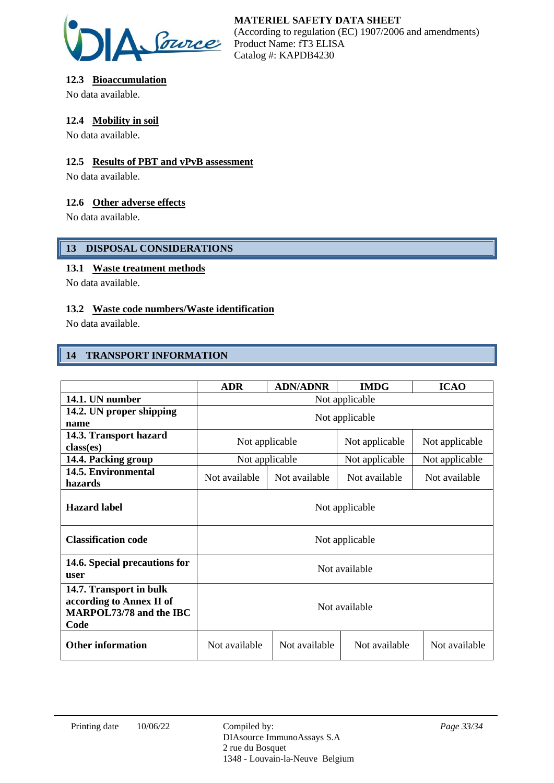

## **12.3 Bioaccumulation**

No data available.

## **12.4 Mobility in soil**

No data available.

## **12.5 Results of PBT and vPvB assessment**

No data available.

## **12.6 Other adverse effects**

No data available.

## **13 DISPOSAL CONSIDERATIONS**

## **13.1 Waste treatment methods**

No data available.

## **13.2 Waste code numbers/Waste identification**

No data available.

## **14 TRANSPORT INFORMATION**

|                                                                                        | <b>ADR</b>     | <b>ADN/ADNR</b> | <b>IMDG</b>    | <b>ICAO</b>    |
|----------------------------------------------------------------------------------------|----------------|-----------------|----------------|----------------|
| 14.1. UN number                                                                        | Not applicable |                 |                |                |
| 14.2. UN proper shipping<br>name                                                       | Not applicable |                 |                |                |
| 14.3. Transport hazard<br>class(es)                                                    | Not applicable |                 | Not applicable | Not applicable |
| 14.4. Packing group                                                                    | Not applicable |                 | Not applicable | Not applicable |
| 14.5. Environmental<br>hazards                                                         | Not available  | Not available   | Not available  | Not available  |
| <b>Hazard label</b>                                                                    | Not applicable |                 |                |                |
| <b>Classification code</b>                                                             | Not applicable |                 |                |                |
| 14.6. Special precautions for<br>user                                                  | Not available  |                 |                |                |
| 14.7. Transport in bulk<br>according to Annex II of<br>MARPOL73/78 and the IBC<br>Code | Not available  |                 |                |                |
| <b>Other information</b>                                                               | Not available  | Not available   | Not available  | Not available  |